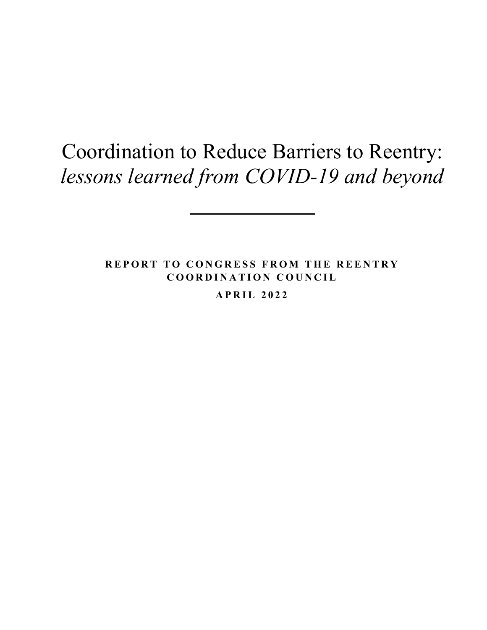# Coordination to Reduce Barriers to Reentry: *lessons learned from COVID-19 and beyond*

**REPORT TO CONGRESS FROM THE REENTRY COORDINATION COUNCIL**

**APRIL 202 2**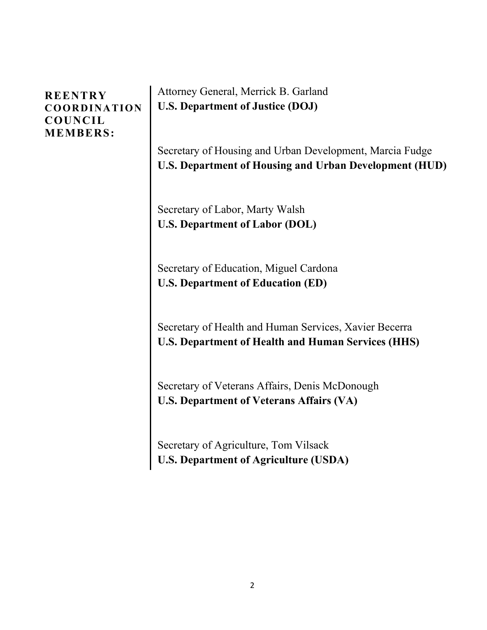### **REENTRY COORDINATION COUNCIL MEMBERS:**

Attorney General, Merrick B. Garland **U.S. Department of Justice (DOJ)**

Secretary of Housing and Urban Development, Marcia Fudge **U.S. Department of Housing and Urban Development (HUD)**

Secretary of Labor, Marty Walsh **U.S. Department of Labor (DOL)**

Secretary of Education, Miguel Cardona **U.S. Department of Education (ED)**

Secretary of Health and Human Services, Xavier Becerra **U.S. Department of Health and Human Services (HHS)**

Secretary of Veterans Affairs, Denis McDonough **U.S. Department of Veterans Affairs (VA)**

Secretary of Agriculture, Tom Vilsack **U.S. Department of Agriculture (USDA)**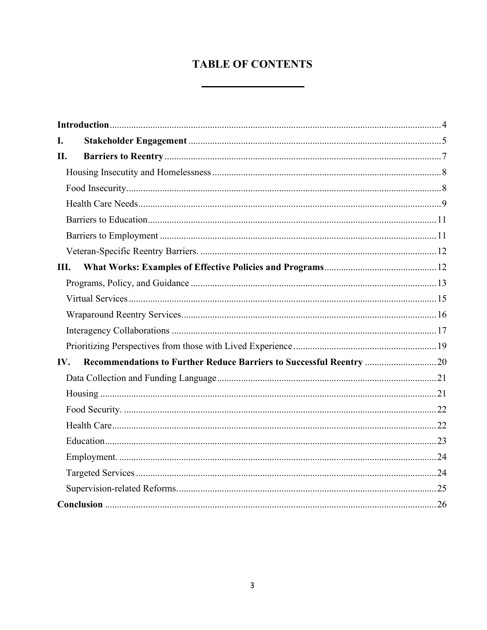### **TABLE OF CONTENTS**

| I.  |                                                                     |  |
|-----|---------------------------------------------------------------------|--|
| II. |                                                                     |  |
|     |                                                                     |  |
|     |                                                                     |  |
|     |                                                                     |  |
|     |                                                                     |  |
|     |                                                                     |  |
|     |                                                                     |  |
| Ш.  |                                                                     |  |
|     |                                                                     |  |
|     |                                                                     |  |
|     |                                                                     |  |
|     |                                                                     |  |
|     |                                                                     |  |
| IV. | Recommendations to Further Reduce Barriers to Successful Reentry 20 |  |
|     |                                                                     |  |
|     |                                                                     |  |
|     |                                                                     |  |
|     |                                                                     |  |
|     |                                                                     |  |
|     |                                                                     |  |
|     |                                                                     |  |
|     |                                                                     |  |
|     |                                                                     |  |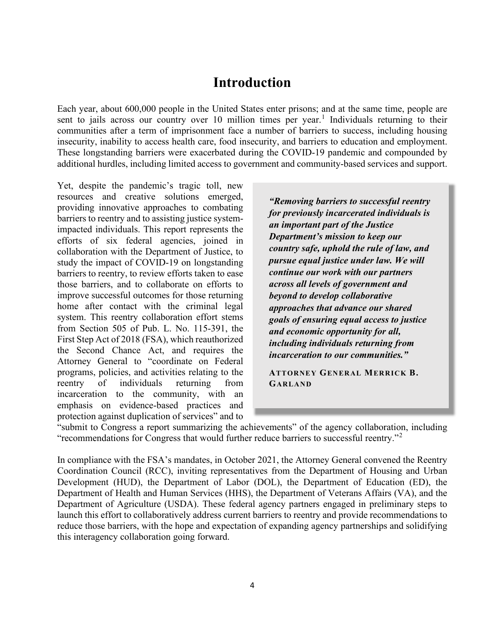# **Introduction**

<span id="page-3-0"></span>Each year, about 600,000 people in the United States enter prisons; and at the same time, people are sent to jails across our country over [1](#page-27-0)0 million times per year.<sup>1</sup> Individuals returning to their communities after a term of imprisonment face a number of barriers to success, including housing insecurity, inability to access health care, food insecurity, and barriers to education and employment. These longstanding barriers were exacerbated during the COVID-19 pandemic and compounded by additional hurdles, including limited access to government and community-based services and support.

Yet, despite the pandemic's tragic toll, new resources and creative solutions emerged, providing innovative approaches to combating barriers to reentry and to assisting justice systemimpacted individuals. This report represents the efforts of six federal agencies, joined in collaboration with the Department of Justice, to study the impact of COVID-19 on longstanding barriers to reentry, to review efforts taken to ease those barriers, and to collaborate on efforts to improve successful outcomes for those returning home after contact with the criminal legal system. This reentry collaboration effort stems from Section 505 of Pub. L. No. 115-391, the First Step Act of 2018 (FSA), which reauthorized the Second Chance Act, and requires the Attorney General to "coordinate on Federal programs, policies, and activities relating to the reentry of individuals returning from incarceration to the community, with an emphasis on evidence-based practices and protection against duplication of services" and to

*"Removing barriers to successful reentry for previously incarcerated individuals is an important part of the Justice Department's mission to keep our country safe, uphold the rule of law, and pursue equal justice under law. We will continue our work with our partners across all levels of government and beyond to develop collaborative approaches that advance our shared goals of ensuring equal access to justice and economic opportunity for all, including individuals returning from incarceration to our communities."*

**ATTORNEY GENERAL MERRICK B. GARLAND**

"submit to Congress a report summarizing the achievements" of the agency collaboration, including "recommendations for Congress that would further reduce barriers to successful reentry."[2](#page-27-1)

In compliance with the FSA's mandates, in October 2021, the Attorney General convened the Reentry Coordination Council (RCC), inviting representatives from the Department of Housing and Urban Development (HUD), the Department of Labor (DOL), the Department of Education (ED), the Department of Health and Human Services (HHS), the Department of Veterans Affairs (VA), and the Department of Agriculture (USDA). These federal agency partners engaged in preliminary steps to launch this effort to collaboratively address current barriers to reentry and provide recommendations to reduce those barriers, with the hope and expectation of expanding agency partnerships and solidifying this interagency collaboration going forward.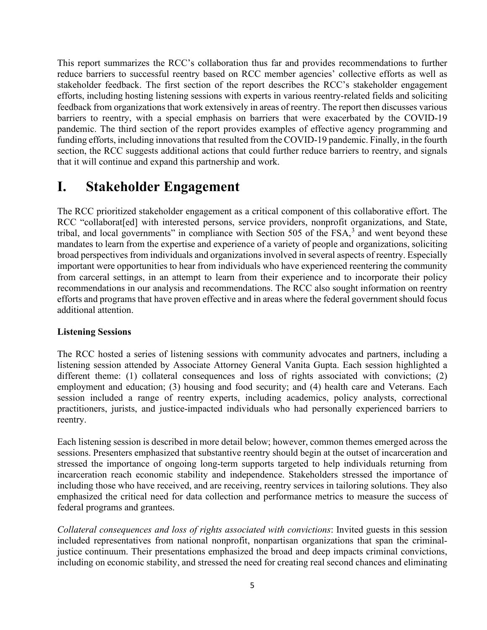This report summarizes the RCC's collaboration thus far and provides recommendations to further reduce barriers to successful reentry based on RCC member agencies' collective efforts as well as stakeholder feedback. The first section of the report describes the RCC's stakeholder engagement efforts, including hosting listening sessions with experts in various reentry-related fields and soliciting feedback from organizations that work extensively in areas of reentry. The report then discusses various barriers to reentry, with a special emphasis on barriers that were exacerbated by the COVID-19 pandemic. The third section of the report provides examples of effective agency programming and funding efforts, including innovations that resulted from the COVID-19 pandemic. Finally, in the fourth section, the RCC suggests additional actions that could further reduce barriers to reentry, and signals that it will continue and expand this partnership and work.

# <span id="page-4-0"></span>**I. Stakeholder Engagement**

The RCC prioritized stakeholder engagement as a critical component of this collaborative effort. The RCC "collaborat [ed] with interested persons, service providers, nonprofit organizations, and State, tribal, and local governments" in compliance with Section 505 of the FSA,<sup>[3](#page-27-2)</sup> and went beyond these mandates to learn from the expertise and experience of a variety of people and organizations, soliciting broad perspectives from individuals and organizations involved in several aspects of reentry. Especially important were opportunities to hear from individuals who have experienced reentering the community from carceral settings, in an attempt to learn from their experience and to incorporate their policy recommendations in our analysis and recommendations. The RCC also sought information on reentry efforts and programs that have proven effective and in areas where the federal government should focus additional attention.

#### **Listening Sessions**

The RCC hosted a series of listening sessions with community advocates and partners, including a listening session attended by Associate Attorney General Vanita Gupta. Each session highlighted a different theme: (1) collateral consequences and loss of rights associated with convictions; (2) employment and education; (3) housing and food security; and (4) health care and Veterans. Each session included a range of reentry experts, including academics, policy analysts, correctional practitioners, jurists, and justice-impacted individuals who had personally experienced barriers to reentry.

Each listening session is described in more detail below; however, common themes emerged across the sessions. Presenters emphasized that substantive reentry should begin at the outset of incarceration and stressed the importance of ongoing long-term supports targeted to help individuals returning from incarceration reach economic stability and independence. Stakeholders stressed the importance of including those who have received, and are receiving, reentry services in tailoring solutions. They also emphasized the critical need for data collection and performance metrics to measure the success of federal programs and grantees.

*Collateral consequences and loss of rights associated with convictions*: Invited guests in this session included representatives from national nonprofit, nonpartisan organizations that span the criminaljustice continuum. Their presentations emphasized the broad and deep impacts criminal convictions, including on economic stability, and stressed the need for creating real second chances and eliminating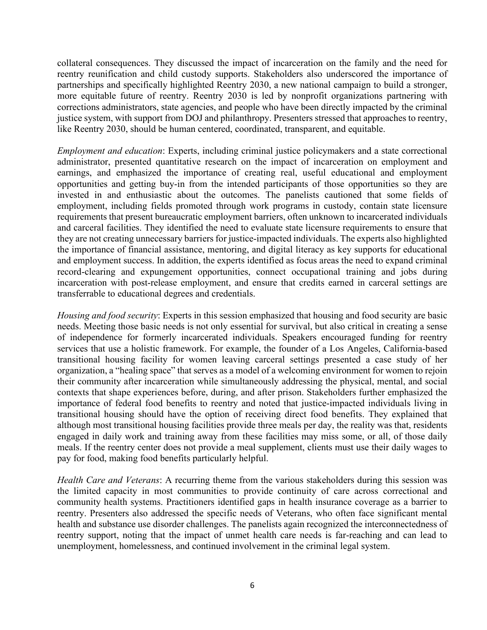collateral consequences. They discussed the impact of incarceration on the family and the need for reentry reunification and child custody supports. Stakeholders also underscored the importance of partnerships and specifically highlighted Reentry 2030, a new national campaign to build a stronger, more equitable future of reentry. Reentry 2030 is led by nonprofit organizations partnering with corrections administrators, state agencies, and people who have been directly impacted by the criminal justice system, with support from DOJ and philanthropy. Presenters stressed that approaches to reentry, like Reentry 2030, should be human centered, coordinated, transparent, and equitable.

*Employment and education*: Experts, including criminal justice policymakers and a state correctional administrator, presented quantitative research on the impact of incarceration on employment and earnings, and emphasized the importance of creating real, useful educational and employment opportunities and getting buy-in from the intended participants of those opportunities so they are invested in and enthusiastic about the outcomes. The panelists cautioned that some fields of employment, including fields promoted through work programs in custody, contain state licensure requirements that present bureaucratic employment barriers, often unknown to incarcerated individuals and carceral facilities. They identified the need to evaluate state licensure requirements to ensure that they are not creating unnecessary barriers for justice-impacted individuals. The experts also highlighted the importance of financial assistance, mentoring, and digital literacy as key supports for educational and employment success. In addition, the experts identified as focus areas the need to expand criminal record-clearing and expungement opportunities, connect occupational training and jobs during incarceration with post-release employment, and ensure that credits earned in carceral settings are transferrable to educational degrees and credentials.

*Housing and food security*: Experts in this session emphasized that housing and food security are basic needs. Meeting those basic needs is not only essential for survival, but also critical in creating a sense of independence for formerly incarcerated individuals. Speakers encouraged funding for reentry services that use a holistic framework. For example, the founder of a Los Angeles, California-based transitional housing facility for women leaving carceral settings presented a case study of her organization, a "healing space" that serves as a model of a welcoming environment for women to rejoin their community after incarceration while simultaneously addressing the physical, mental, and social contexts that shape experiences before, during, and after prison. Stakeholders further emphasized the importance of federal food benefits to reentry and noted that justice-impacted individuals living in transitional housing should have the option of receiving direct food benefits. They explained that although most transitional housing facilities provide three meals per day, the reality was that, residents engaged in daily work and training away from these facilities may miss some, or all, of those daily meals. If the reentry center does not provide a meal supplement, clients must use their daily wages to pay for food, making food benefits particularly helpful.

*Health Care and Veterans*: A recurring theme from the various stakeholders during this session was the limited capacity in most communities to provide continuity of care across correctional and community health systems. Practitioners identified gaps in health insurance coverage as a barrier to reentry. Presenters also addressed the specific needs of Veterans, who often face significant mental health and substance use disorder challenges. The panelists again recognized the interconnectedness of reentry support, noting that the impact of unmet health care needs is far-reaching and can lead to unemployment, homelessness, and continued involvement in the criminal legal system.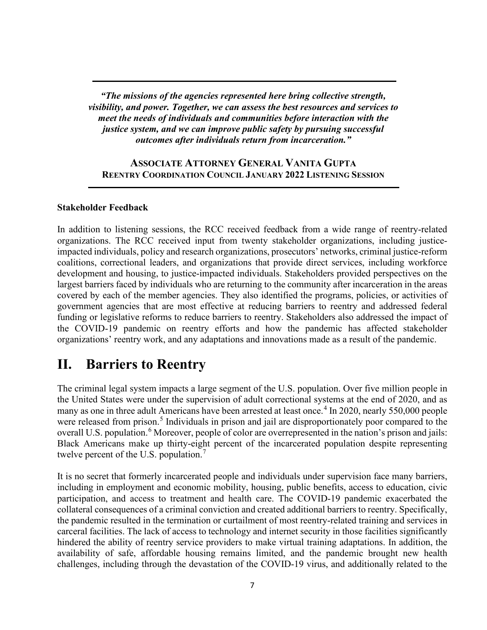*"The missions of the agencies represented here bring collective strength, visibility, and power. Together, we can assess the best resources and services to meet the needs of individuals and communities before interaction with the justice system, and we can improve public safety by pursuing successful outcomes after individuals return from incarceration."*

#### **ASSOCIATE ATTORNEY GENERAL VANITA GUPTA REENTRY COORDINATION COUNCIL JANUARY 2022 LISTENING SESSION**

#### **Stakeholder Feedback**

In addition to listening sessions, the RCC received feedback from a wide range of reentry-related organizations. The RCC received input from twenty stakeholder organizations, including justiceimpacted individuals, policy and research organizations, prosecutors' networks, criminal justice-reform coalitions, correctional leaders, and organizations that provide direct services, including workforce development and housing, to justice-impacted individuals. Stakeholders provided perspectives on the largest barriers faced by individuals who are returning to the community after incarceration in the areas covered by each of the member agencies. They also identified the programs, policies, or activities of government agencies that are most effective at reducing barriers to reentry and addressed federal funding or legislative reforms to reduce barriers to reentry. Stakeholders also addressed the impact of the COVID-19 pandemic on reentry efforts and how the pandemic has affected stakeholder organizations' reentry work, and any adaptations and innovations made as a result of the pandemic.

## <span id="page-6-0"></span>**II. Barriers to Reentry**

The criminal legal system impacts a large segment of the U.S. population. Over five million people in the United States were under the supervision of adult correctional systems at the end of 2020, and as many as one in three adult Americans have been arrested at least once. [4](#page-27-3) In 2020, nearly 550,000 people were released from prison.<sup>[5](#page-27-4)</sup> Individuals in prison and jail are disproportionately poor compared to the overall U.S. population.<sup>[6](#page-27-5)</sup> Moreover, people of color are overrepresented in the nation's prison and jails: Black Americans make up thirty-eight percent of the incarcerated population despite representing twelve percent of the U.S. population.<sup>[7](#page-27-6)</sup>

It is no secret that formerly incarcerated people and individuals under supervision face many barriers, including in employment and economic mobility, housing, public benefits, access to education, civic participation, and access to treatment and health care. The COVID-19 pandemic exacerbated the collateral consequences of a criminal conviction and created additional barriers to reentry. Specifically, the pandemic resulted in the termination or curtailment of most reentry-related training and services in carceral facilities. The lack of access to technology and internet security in those facilities significantly hindered the ability of reentry service providers to make virtual training adaptations. In addition, the availability of safe, affordable housing remains limited, and the pandemic brought new health challenges, including through the devastation of the COVID-19 virus, and additionally related to the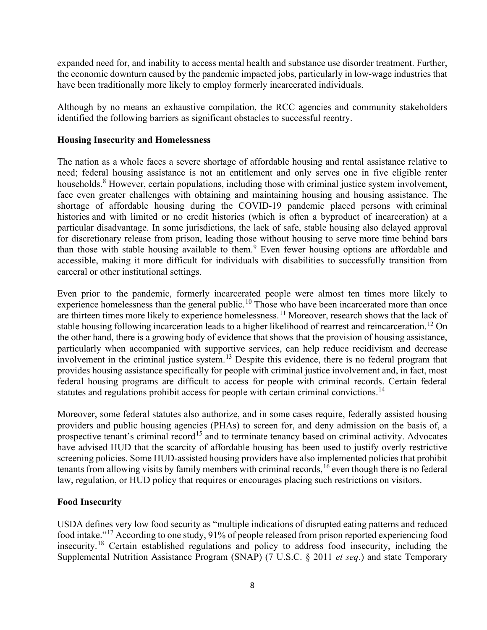expanded need for, and inability to access mental health and substance use disorder treatment. Further, the economic downturn caused by the pandemic impacted jobs, particularly in low-wage industries that have been traditionally more likely to employ formerly incarcerated individuals.

Although by no means an exhaustive compilation, the RCC agencies and community stakeholders identified the following barriers as significant obstacles to successful reentry.

#### <span id="page-7-0"></span>**Housing Insecurity and Homelessness**

The nation as a whole faces a severe shortage of affordable housing and rental assistance relative to need; federal housing assistance is not an entitlement and only serves one in five eligible renter households.<sup>[8](#page-27-7)</sup> However, certain populations, including those with criminal justice system involvement, face even greater challenges with obtaining and maintaining housing and housing assistance. The shortage of affordable housing during the COVID-19 pandemic placed persons with criminal histories and with limited or no credit histories (which is often a byproduct of incarceration) at a particular disadvantage. In some jurisdictions, the lack of safe, stable housing also delayed approval for discretionary release from prison, leading those without housing to serve more time behind bars than those with stable housing available to them.<sup>[9](#page-27-8)</sup> Even fewer housing options are affordable and accessible, making it more difficult for individuals with disabilities to successfully transition from carceral or other institutional settings.

Even prior to the pandemic, formerly incarcerated people were almost ten times more likely to experience homelessness than the general public.<sup>[10](#page-27-9)</sup> Those who have been incarcerated more than once are thirteen times more likely to experience homelessness.[11](#page-27-10) Moreover, research shows that the lack of stable housing following incarceration leads to a higher likelihood of rearrest and reincarceration.<sup>[12](#page-27-11)</sup> On the other hand, there is a growing body of evidence that shows that the provision of housing assistance, particularly when accompanied with supportive services, can help reduce recidivism and decrease involvement in the criminal justice system.<sup>[13](#page-27-12)</sup> Despite this evidence, there is no federal program that provides housing assistance specifically for people with criminal justice involvement and, in fact, most federal housing programs are difficult to access for people with criminal records. Certain federal statutes and regulations prohibit access for people with certain criminal convictions.<sup>[14](#page-27-13)</sup>

Moreover, some federal statutes also authorize, and in some cases require, federally assisted housing providers and public housing agencies (PHAs) to screen for, and deny admission on the basis of, a prospective tenant's criminal record<sup>[15](#page-27-14)</sup> and to terminate tenancy based on criminal activity. Advocates have advised HUD that the scarcity of affordable housing has been used to justify overly restrictive screening policies. Some HUD-assisted housing providers have also implemented policies that prohibit tenants from allowing visits by family members with criminal records, [16](#page-27-15) even though there is no federal law, regulation, or HUD policy that requires or encourages placing such restrictions on visitors.

#### <span id="page-7-1"></span>**Food Insecurity**

USDA defines very low food security as "multiple indications of disrupted eating patterns and reduced food intake."[17](#page-28-0) According to one study, 91% of people released from prison reported experiencing food insecurity.[18](#page-28-1) Certain established regulations and policy to address food insecurity, including the Supplemental Nutrition Assistance Program (SNAP) (7 U.S.C. § 2011 *et seq*.) and state Temporary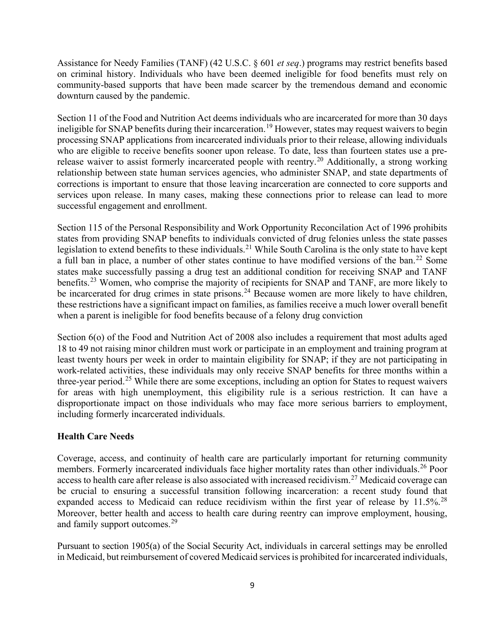Assistance for Needy Families (TANF) (42 U.S.C. § 601 *et seq*.) programs may restrict benefits based on criminal history. Individuals who have been deemed ineligible for food benefits must rely on community-based supports that have been made scarcer by the tremendous demand and economic downturn caused by the pandemic.

Section 11 of the Food and Nutrition Act deems individuals who are incarcerated for more than 30 days ineligible for SNAP benefits during their incarceration.<sup>19</sup> However, states may request waivers to begin processing SNAP applications from incarcerated individuals prior to their release, allowing individuals who are eligible to receive benefits sooner upon release. To date, less than fourteen states use a prerelease waiver to assist formerly incarcerated people with reentry.[20](#page-28-3) Additionally, a strong working relationship between state human services agencies, who administer SNAP, and state departments of corrections is important to ensure that those leaving incarceration are connected to core supports and services upon release. In many cases, making these connections prior to release can lead to more successful engagement and enrollment.

Section 115 of the Personal Responsibility and Work Opportunity Reconcilation Act of 1996 prohibits states from providing SNAP benefits to individuals convicted of drug felonies unless the state passes legislation to extend benefits to these individuals.<sup>[21](#page-28-4)</sup> While South Carolina is the only state to have kept a full ban in place, a number of other states continue to have modified versions of the ban.<sup>[22](#page-28-5)</sup> Some states make successfully passing a drug test an additional condition for receiving SNAP and TANF benefits.<sup>[23](#page-28-6)</sup> Women, who comprise the majority of recipients for SNAP and TANF, are more likely to be incarcerated for drug crimes in state prisons.<sup>[24](#page-28-7)</sup> Because women are more likely to have children, these restrictions have a significant impact on families, as families receive a much lower overall benefit when a parent is ineligible for food benefits because of a felony drug conviction

Section 6(o) of the Food and Nutrition Act of 2008 also includes a requirement that most adults aged 18 to 49 not raising minor children must work or participate in an employment and training program at least twenty hours per week in order to maintain eligibility for SNAP; if they are not participating in work-related activities, these individuals may only receive SNAP benefits for three months within a three-year period.<sup>[25](#page-28-8)</sup> While there are some exceptions, including an option for States to request waivers for areas with high unemployment, this eligibility rule is a serious restriction. It can have a disproportionate impact on those individuals who may face more serious barriers to employment, including formerly incarcerated individuals.

#### <span id="page-8-0"></span>**Health Care Needs**

Coverage, access, and continuity of health care are particularly important for returning community members. Formerly incarcerated individuals face higher mortality rates than other individuals.<sup>26</sup> Poor access to health care after release is also associated with increased recidivism.<sup>[27](#page-28-10)</sup> Medicaid coverage can be crucial to ensuring a successful transition following incarceration: a recent study found that expanded access to Medicaid can reduce recidivism within the first year of release by  $11.5\%$ <sup>[28](#page-28-11)</sup> Moreover, better health and access to health care during reentry can improve employment, housing, and family support outcomes.<sup>[29](#page-28-12)</sup>

Pursuant to section 1905(a) of the Social Security Act, individuals in carceral settings may be enrolled in Medicaid, but reimbursement of covered Medicaid services is prohibited for incarcerated individuals,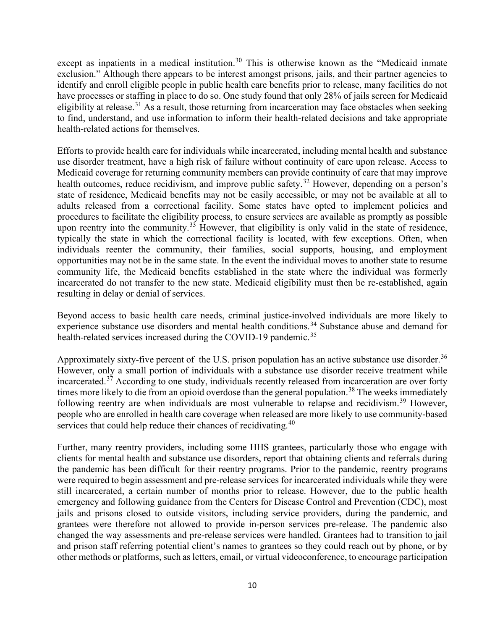except as inpatients in a medical institution.<sup>[30](#page-28-13)</sup> This is otherwise known as the "Medicaid inmate exclusion." Although there appears to be interest amongst prisons, jails, and their partner agencies to identify and enroll eligible people in public health care benefits prior to release, many facilities do not have processes or staffing in place to do so. One study found that only 28% of jails screen for Medicaid eligibility at release.<sup>[31](#page-28-14)</sup> As a result, those returning from incarceration may face obstacles when seeking to find, understand, and use information to inform their health-related decisions and take appropriate health-related actions for themselves.

Efforts to provide health care for individuals while incarcerated, including mental health and substance use disorder treatment, have a high risk of failure without continuity of care upon release. Access to Medicaid coverage for returning community members can provide continuity of care that may improve health outcomes, reduce recidivism, and improve public safety.<sup>[32](#page-28-15)</sup> However, depending on a person's state of residence, Medicaid benefits may not be easily accessible, or may not be available at all to adults released from a correctional facility. Some states have opted to implement policies and procedures to facilitate the eligibility process, to ensure services are available as promptly as possible upon reentry into the community.<sup>[33](#page-28-16)</sup> However, that eligibility is only valid in the state of residence, typically the state in which the correctional facility is located, with few exceptions. Often, when individuals reenter the community, their families, social supports, housing, and employment opportunities may not be in the same state. In the event the individual moves to another state to resume community life, the Medicaid benefits established in the state where the individual was formerly incarcerated do not transfer to the new state. Medicaid eligibility must then be re-established, again resulting in delay or denial of services.

Beyond access to basic health care needs, criminal justice-involved individuals are more likely to experience substance use disorders and mental health conditions.<sup>[34](#page-29-0)</sup> Substance abuse and demand for health-related services increased during the COVID-19 pandemic.<sup>[35](#page-29-1)</sup>

Approximately sixty-five percent of the U.S. prison population has an active substance use disorder.<sup>[36](#page-29-2)</sup> However, only a small portion of individuals with a substance use disorder receive treatment while incarcerated.<sup>[37](#page-29-3)</sup> According to one study, individuals recently released from incarceration are over forty times more likely to die from an opioid overdose than the general population.<sup>[38](#page-29-4)</sup> The weeks immediately following reentry are when individuals are most vulnerable to relapse and recidivism.<sup>[39](#page-29-5)</sup> However, people who are enrolled in health care coverage when released are more likely to use community-based services that could help reduce their chances of recidivating.<sup>[40](#page-29-6)</sup>

Further, many reentry providers, including some HHS grantees, particularly those who engage with clients for mental health and substance use disorders, report that obtaining clients and referrals during the pandemic has been difficult for their reentry programs. Prior to the pandemic, reentry programs were required to begin assessment and pre-release services for incarcerated individuals while they were still incarcerated, a certain number of months prior to release. However, due to the public health emergency and following guidance from the Centers for Disease Control and Prevention (CDC), most jails and prisons closed to outside visitors, including service providers, during the pandemic, and grantees were therefore not allowed to provide in-person services pre-release. The pandemic also changed the way assessments and pre-release services were handled. Grantees had to transition to jail and prison staff referring potential client's names to grantees so they could reach out by phone, or by other methods or platforms, such asletters, email, or virtual videoconference, to encourage participation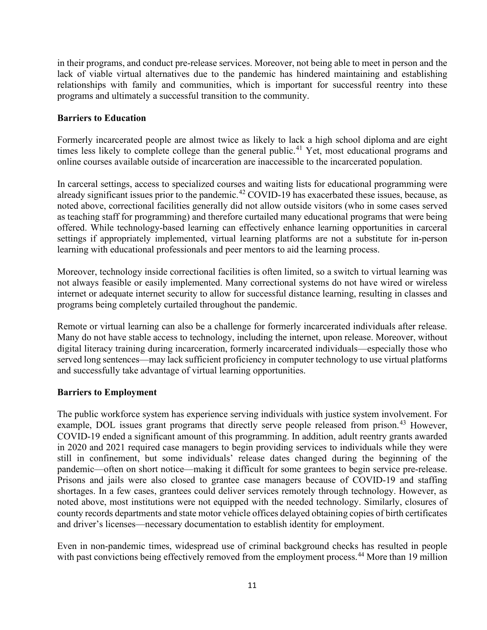in their programs, and conduct pre-release services. Moreover, not being able to meet in person and the lack of viable virtual alternatives due to the pandemic has hindered maintaining and establishing relationships with family and communities, which is important for successful reentry into these programs and ultimately a successful transition to the community.

#### <span id="page-10-0"></span>**Barriers to Education**

Formerly incarcerated people are almost twice as likely to lack a high school diploma and are eight times less likely to complete college than the general public.<sup>[41](#page-29-7)</sup> Yet, most educational programs and online courses available outside of incarceration are inaccessible to the incarcerated population.

In carceral settings, access to specialized courses and waiting lists for educational programming were already significant issues prior to the pandemic.<sup>[42](#page-29-8)</sup> COVID-19 has exacerbated these issues, because, as noted above, correctional facilities generally did not allow outside visitors (who in some cases served as teaching staff for programming) and therefore curtailed many educational programs that were being offered. While technology-based learning can effectively enhance learning opportunities in carceral settings if appropriately implemented, virtual learning platforms are not a substitute for in-person learning with educational professionals and peer mentors to aid the learning process.

Moreover, technology inside correctional facilities is often limited, so a switch to virtual learning was not always feasible or easily implemented. Many correctional systems do not have wired or wireless internet or adequate internet security to allow for successful distance learning, resulting in classes and programs being completely curtailed throughout the pandemic.

Remote or virtual learning can also be a challenge for formerly incarcerated individuals after release. Many do not have stable access to technology, including the internet, upon release. Moreover, without digital literacy training during incarceration, formerly incarcerated individuals—especially those who served long sentences—may lack sufficient proficiency in computer technology to use virtual platforms and successfully take advantage of virtual learning opportunities.

#### <span id="page-10-1"></span>**Barriers to Employment**

The public workforce system has experience serving individuals with justice system involvement. For example, DOL issues grant programs that directly serve people released from prison.<sup>[43](#page-29-9)</sup> However, COVID-19 ended a significant amount of this programming. In addition, adult reentry grants awarded in 2020 and 2021 required case managers to begin providing services to individuals while they were still in confinement, but some individuals' release dates changed during the beginning of the pandemic—often on short notice—making it difficult for some grantees to begin service pre-release. Prisons and jails were also closed to grantee case managers because of COVID-19 and staffing shortages. In a few cases, grantees could deliver services remotely through technology. However, as noted above, most institutions were not equipped with the needed technology. Similarly, closures of county records departments and state motor vehicle offices delayed obtaining copies of birth certificates and driver's licenses—necessary documentation to establish identity for employment.

Even in non-pandemic times, widespread use of criminal background checks has resulted in people with past convictions being effectively removed from the employment process.<sup>[44](#page-29-10)</sup> More than 19 million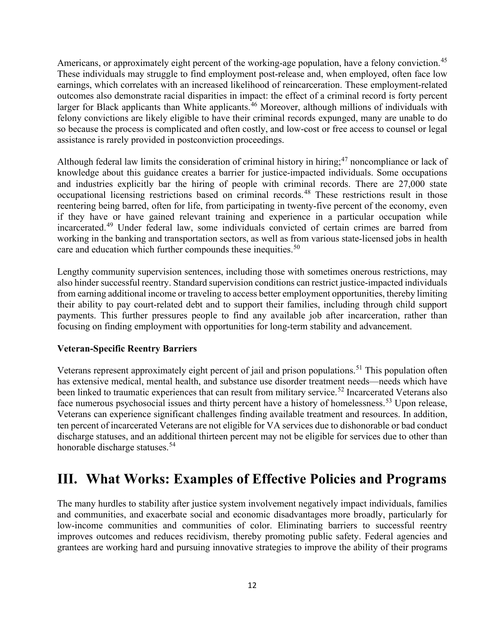Americans, or approximately eight percent of the working-age population, have a felony conviction.<sup>[45](#page-29-11)</sup> These individuals may struggle to find employment post-release and, when employed, often face low earnings, which correlates with an increased likelihood of reincarceration. These employment-related outcomes also demonstrate racial disparities in impact: the effect of a criminal record is forty percent larger for Black applicants than White applicants.<sup>46</sup> Moreover, although millions of individuals with felony convictions are likely eligible to have their criminal records expunged, many are unable to do so because the process is complicated and often costly, and low-cost or free access to counsel or legal assistance is rarely provided in postconviction proceedings.

Although federal law limits the consideration of criminal history in hiring;<sup>47</sup> noncompliance or lack of knowledge about this guidance creates a barrier for justice-impacted individuals. Some occupations and industries explicitly bar the hiring of people with criminal records. There are 27,000 state occupational licensing restrictions based on criminal records.[48](#page-29-14) These restrictions result in those reentering being barred, often for life, from participating in twenty-five percent of the economy, even if they have or have gained relevant training and experience in a particular occupation while incarcerated. [49](#page-29-15) Under federal law, some individuals convicted of certain crimes are barred from working in the banking and transportation sectors, as well as from various state-licensed jobs in health care and education which further compounds these inequities.<sup>[50](#page-29-16)</sup>

Lengthy community supervision sentences, including those with sometimes onerous restrictions, may also hinder successful reentry. Standard supervision conditions can restrict justice-impacted individuals from earning additional income or traveling to access better employment opportunities, thereby limiting their ability to pay court-related debt and to support their families, including through child support payments. This further pressures people to find any available job after incarceration, rather than focusing on finding employment with opportunities for long-term stability and advancement.

#### <span id="page-11-0"></span>**Veteran-Specific Reentry Barriers**

Veterans represent approximately eight percent of jail and prison populations.<sup>[51](#page-30-0)</sup> This population often has extensive medical, mental health, and substance use disorder treatment needs—needs which have been linked to traumatic experiences that can result from military service.<sup>[52](#page-30-1)</sup> Incarcerated Veterans also face numerous psychosocial issues and thirty percent have a history of homelessness.<sup>[53](#page-30-2)</sup> Upon release, Veterans can experience significant challenges finding available treatment and resources. In addition, ten percent of incarcerated Veterans are not eligible for VA services due to dishonorable or bad conduct discharge statuses, and an additional thirteen percent may not be eligible for services due to other than honorable discharge statuses.<sup>54</sup>

# **III. What Works: Examples of Effective Policies and Programs**

The many hurdles to stability after justice system involvement negatively impact individuals, families and communities, and exacerbate social and economic disadvantages more broadly, particularly for low-income communities and communities of color. Eliminating barriers to successful reentry improves outcomes and reduces recidivism, thereby promoting public safety. Federal agencies and grantees are working hard and pursuing innovative strategies to improve the ability of their programs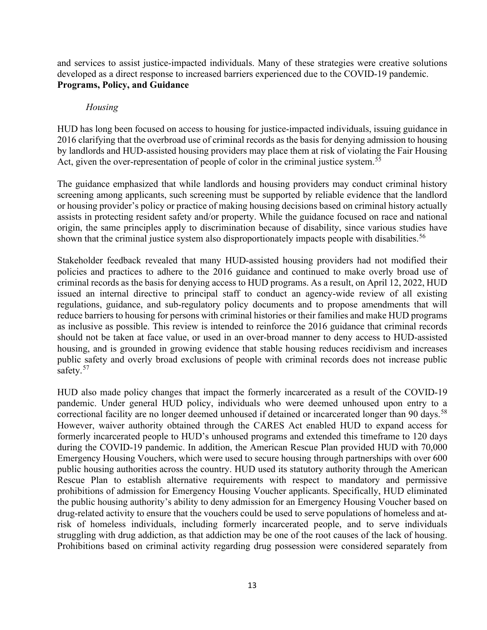<span id="page-12-0"></span>and services to assist justice-impacted individuals. Many of these strategies were creative solutions developed as a direct response to increased barriers experienced due to the COVID-19 pandemic. **Programs, Policy, and Guidance**

#### *Housing*

HUD has long been focused on access to housing for justice-impacted individuals, issuing guidance in 2016 clarifying that the overbroad use of criminal records as the basis for denying admission to housing by landlords and HUD-assisted housing providers may place them at risk of violating the Fair Housing Act, given the over-representation of people of color in the criminal justice system.<sup>[55](#page-30-4)</sup>

The guidance emphasized that while landlords and housing providers may conduct criminal history screening among applicants, such screening must be supported by reliable evidence that the landlord or housing provider's policy or practice of making housing decisions based on criminal history actually assists in protecting resident safety and/or property. While the guidance focused on race and national origin, the same principles apply to discrimination because of disability, since various studies have shown that the criminal justice system also disproportionately impacts people with disabilities.<sup>[56](#page-30-5)</sup>

Stakeholder feedback revealed that many HUD-assisted housing providers had not modified their policies and practices to adhere to the 2016 guidance and continued to make overly broad use of criminal records as the basis for denying access to HUD programs. As a result, on April 12, 2022, HUD issued an internal directive to principal staff to conduct an agency-wide review of all existing regulations, guidance, and sub-regulatory policy documents and to propose amendments that will reduce barriers to housing for persons with criminal histories or their families and make HUD programs as inclusive as possible. This review is intended to reinforce the 2016 guidance that criminal records should not be taken at face value, or used in an over-broad manner to deny access to HUD-assisted housing, and is grounded in growing evidence that stable housing reduces recidivism and increases public safety and overly broad exclusions of people with criminal records does not increase public safety.<sup>[57](#page-30-6)</sup>

HUD also made policy changes that impact the formerly incarcerated as a result of the COVID-19 pandemic. Under general HUD policy, individuals who were deemed unhoused upon entry to a correctional facility are no longer deemed unhoused if detained or incarcerated longer than 90 days.<sup>[58](#page-30-7)</sup> However, waiver authority obtained through the CARES Act enabled HUD to expand access for formerly incarcerated people to HUD's unhoused programs and extended this timeframe to 120 days during the COVID-19 pandemic. In addition, the American Rescue Plan provided HUD with 70,000 Emergency Housing Vouchers, which were used to secure housing through partnerships with over 600 public housing authorities across the country. HUD used its statutory authority through the American Rescue Plan to establish alternative requirements with respect to mandatory and permissive prohibitions of admission for Emergency Housing Voucher applicants. Specifically, HUD eliminated the public housing authority's ability to deny admission for an Emergency Housing Voucher based on drug-related activity to ensure that the vouchers could be used to serve populations of homeless and atrisk of homeless individuals, including formerly incarcerated people, and to serve individuals struggling with drug addiction, as that addiction may be one of the root causes of the lack of housing. Prohibitions based on criminal activity regarding drug possession were considered separately from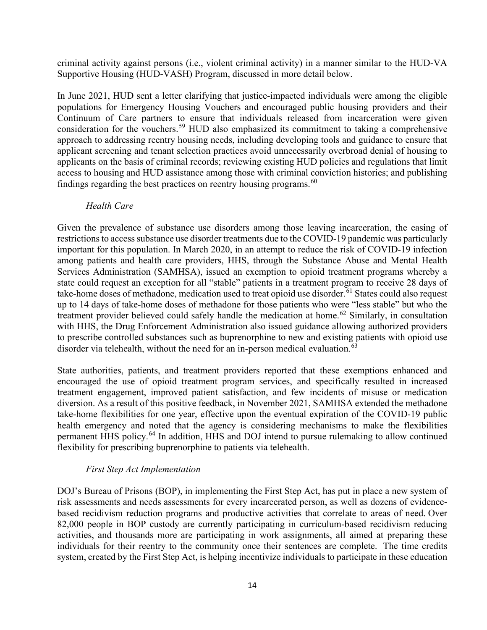criminal activity against persons (i.e., violent criminal activity) in a manner similar to the HUD-VA Supportive Housing (HUD-VASH) Program, discussed in more detail below.

In June 2021, HUD sent a letter clarifying that justice-impacted individuals were among the eligible populations for Emergency Housing Vouchers and encouraged public housing providers and their Continuum of Care partners to ensure that individuals released from incarceration were given consideration for the vouchers.<sup>[59](#page-30-8)</sup> HUD also emphasized its commitment to taking a comprehensive approach to addressing reentry housing needs, including developing tools and guidance to ensure that applicant screening and tenant selection practices avoid unnecessarily overbroad denial of housing to applicants on the basis of criminal records; reviewing existing HUD policies and regulations that limit access to housing and HUD assistance among those with criminal conviction histories; and publishing findings regarding the best practices on reentry housing programs.  $60$ 

#### *Health Care*

Given the prevalence of substance use disorders among those leaving incarceration, the easing of restrictions to access substance use disorder treatments due to the COVID-19 pandemic was particularly important for this population. In March 2020, in an attempt to reduce the risk of COVID-19 infection among patients and health care providers, HHS, through the Substance Abuse and Mental Health Services Administration (SAMHSA), issued an exemption to opioid treatment programs whereby a state could request an exception for all "stable" patients in a treatment program to receive 28 days of take-home doses of methadone, medication used to treat opioid use disorder.<sup>[61](#page-30-10)</sup> States could also request up to 14 days of take-home doses of methadone for those patients who were "less stable" but who the treatment provider believed could safely handle the medication at home.<sup>[62](#page-30-11)</sup> Similarly, in consultation with HHS, the Drug Enforcement Administration also issued guidance allowing authorized providers to prescribe controlled substances such as buprenorphine to new and existing patients with opioid use disorder via telehealth, without the need for an in-person medical evaluation.<sup>63</sup>

State authorities, patients, and treatment providers reported that these exemptions enhanced and encouraged the use of opioid treatment program services, and specifically resulted in increased treatment engagement, improved patient satisfaction, and few incidents of misuse or medication diversion. As a result of this positive feedback, in November 2021, SAMHSA extended the methadone take-home flexibilities for one year, effective upon the eventual expiration of the COVID-19 public health emergency and noted that the agency is considering mechanisms to make the flexibilities permanent HHS policy.[64](#page-30-13) In addition, HHS and DOJ intend to pursue rulemaking to allow continued flexibility for prescribing buprenorphine to patients via telehealth.

#### *First Step Act Implementation*

DOJ's Bureau of Prisons (BOP), in implementing the First Step Act, has put in place a new system of risk assessments and needs assessments for every incarcerated person, as well as dozens of evidencebased recidivism reduction programs and productive activities that correlate to areas of need. Over 82,000 people in BOP custody are currently participating in curriculum-based recidivism reducing activities, and thousands more are participating in work assignments, all aimed at preparing these individuals for their reentry to the community once their sentences are complete. The time credits system, created by the First Step Act, is helping incentivize individuals to participate in these education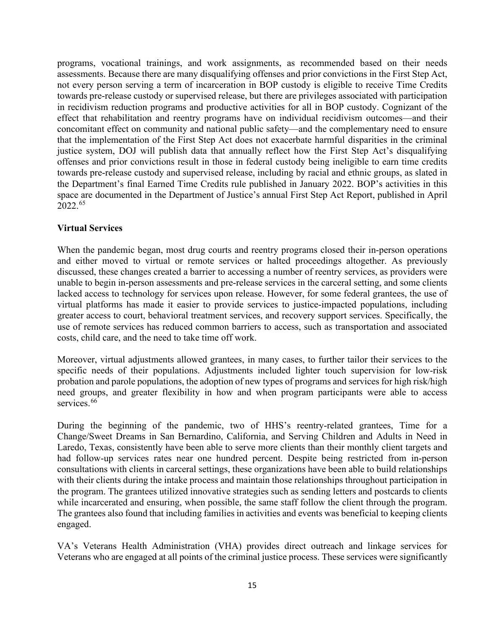programs, vocational trainings, and work assignments, as recommended based on their needs assessments. Because there are many disqualifying offenses and prior convictions in the First Step Act, not every person serving a term of incarceration in BOP custody is eligible to receive Time Credits towards pre-release custody or supervised release, but there are privileges associated with participation in recidivism reduction programs and productive activities for all in BOP custody. Cognizant of the effect that rehabilitation and reentry programs have on individual recidivism outcomes—and their concomitant effect on community and national public safety—and the complementary need to ensure that the implementation of the First Step Act does not exacerbate harmful disparities in the criminal justice system, DOJ will publish data that annually reflect how the First Step Act's disqualifying offenses and prior convictions result in those in federal custody being ineligible to earn time credits towards pre-release custody and supervised release, including by racial and ethnic groups, as slated in the Department's final Earned Time Credits rule published in January 2022. BOP's activities in this space are documented in the Department of Justice's annual First Step Act Report, published in April 2022.[65](#page-31-0)

#### <span id="page-14-0"></span>**Virtual Services**

When the pandemic began, most drug courts and reentry programs closed their in-person operations and either moved to virtual or remote services or halted proceedings altogether. As previously discussed, these changes created a barrier to accessing a number of reentry services, as providers were unable to begin in-person assessments and pre-release services in the carceral setting, and some clients lacked access to technology for services upon release. However, for some federal grantees, the use of virtual platforms has made it easier to provide services to justice-impacted populations, including greater access to court, behavioral treatment services, and recovery support services. Specifically, the use of remote services has reduced common barriers to access, such as transportation and associated costs, child care, and the need to take time off work.

Moreover, virtual adjustments allowed grantees, in many cases, to further tailor their services to the specific needs of their populations. Adjustments included lighter touch supervision for low-risk probation and parole populations, the adoption of new types of programs and services for high risk/high need groups, and greater flexibility in how and when program participants were able to access services.<sup>[66](#page-31-1)</sup>

During the beginning of the pandemic, two of HHS's reentry-related grantees, Time for a Change/Sweet Dreams in San Bernardino, California, and Serving Children and Adults in Need in Laredo, Texas, consistently have been able to serve more clients than their monthly client targets and had follow-up services rates near one hundred percent. Despite being restricted from in-person consultations with clients in carceral settings, these organizations have been able to build relationships with their clients during the intake process and maintain those relationships throughout participation in the program. The grantees utilized innovative strategies such as sending letters and postcards to clients while incarcerated and ensuring, when possible, the same staff follow the client through the program. The grantees also found that including families in activities and events was beneficial to keeping clients engaged.

VA's Veterans Health Administration (VHA) provides direct outreach and linkage services for Veterans who are engaged at all points of the criminal justice process. These services were significantly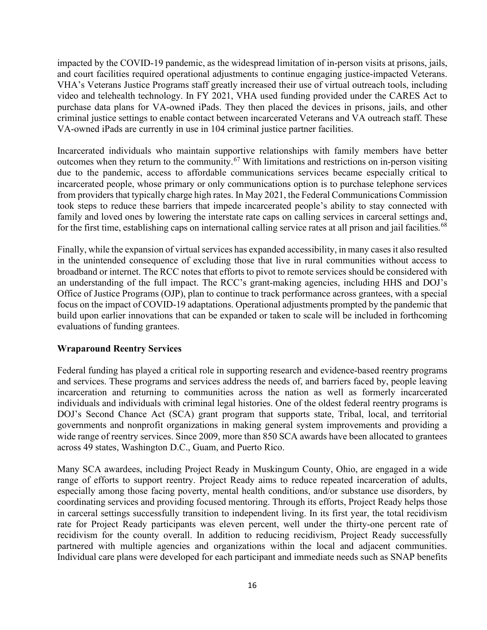impacted by the COVID-19 pandemic, as the widespread limitation of in-person visits at prisons, jails, and court facilities required operational adjustments to continue engaging justice-impacted Veterans. VHA's Veterans Justice Programs staff greatly increased their use of virtual outreach tools, including video and telehealth technology. In FY 2021, VHA used funding provided under the CARES Act to purchase data plans for VA-owned iPads. They then placed the devices in prisons, jails, and other criminal justice settings to enable contact between incarcerated Veterans and VA outreach staff. These VA-owned iPads are currently in use in 104 criminal justice partner facilities.

Incarcerated individuals who maintain supportive relationships with family members have better outcomes when they return to the community.<sup>[67](#page-31-2)</sup> With limitations and restrictions on in-person visiting due to the pandemic, access to affordable communications services became especially critical to incarcerated people, whose primary or only communications option is to purchase telephone services from providers that typically charge high rates. In May 2021, the Federal Communications Commission took steps to reduce these barriers that impede incarcerated people's ability to stay connected with family and loved ones by lowering the interstate rate caps on calling services in carceral settings and, for the first time, establishing caps on international calling service rates at all prison and jail facilities.<sup>[68](#page-31-3)</sup>

Finally, while the expansion of virtual services has expanded accessibility, in many cases it also resulted in the unintended consequence of excluding those that live in rural communities without access to broadband or internet. The RCC notes that efforts to pivot to remote services should be considered with an understanding of the full impact. The RCC's grant-making agencies, including HHS and DOJ's Office of Justice Programs (OJP), plan to continue to track performance across grantees, with a special focus on the impact of COVID-19 adaptations. Operational adjustments prompted by the pandemic that build upon earlier innovations that can be expanded or taken to scale will be included in forthcoming evaluations of funding grantees.

#### <span id="page-15-0"></span>**Wraparound Reentry Services**

Federal funding has played a critical role in supporting research and evidence-based reentry programs and services. These programs and services address the needs of, and barriers faced by, people leaving incarceration and returning to communities across the nation as well as formerly incarcerated individuals and individuals with criminal legal histories. One of the oldest federal reentry programs is DOJ's Second Chance Act (SCA) grant program that supports state, Tribal, local, and territorial governments and nonprofit organizations in making general system improvements and providing a wide range of reentry services. Since 2009, more than 850 SCA awards have been allocated to grantees across 49 states, Washington D.C., Guam, and Puerto Rico.

Many SCA awardees, including Project Ready in Muskingum County, Ohio, are engaged in a wide range of efforts to support reentry. Project Ready aims to reduce repeated incarceration of adults, especially among those facing poverty, mental health conditions, and/or substance use disorders, by coordinating services and providing focused mentoring. Through its efforts, Project Ready helps those in carceral settings successfully transition to independent living. In its first year, the total recidivism rate for Project Ready participants was eleven percent, well under the thirty-one percent rate of recidivism for the county overall. In addition to reducing recidivism, Project Ready successfully partnered with multiple agencies and organizations within the local and adjacent communities. Individual care plans were developed for each participant and immediate needs such as SNAP benefits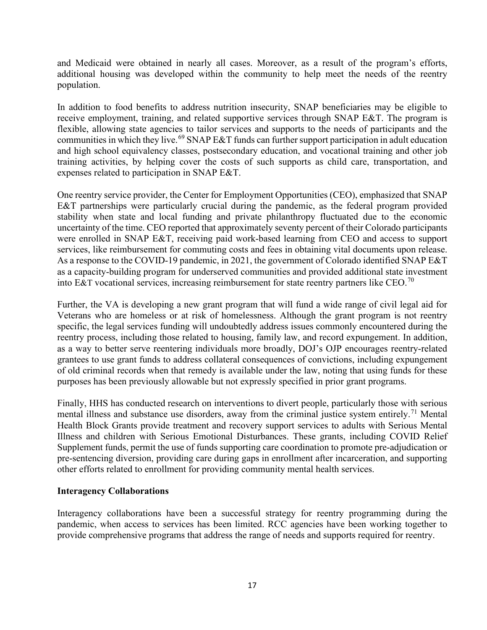and Medicaid were obtained in nearly all cases. Moreover, as a result of the program's efforts, additional housing was developed within the community to help meet the needs of the reentry population.

In addition to food benefits to address nutrition insecurity, SNAP beneficiaries may be eligible to receive employment, training, and related supportive services through SNAP E&T. The program is flexible, allowing state agencies to tailor services and supports to the needs of participants and the communities in which they live.<sup>[69](#page-31-4)</sup> SNAP E&T funds can further support participation in adult education and high school equivalency classes, postsecondary education, and vocational training and other job training activities, by helping cover the costs of such supports as child care, transportation, and expenses related to participation in SNAP E&T.

One reentry service provider, the Center for Employment Opportunities (CEO), emphasized that SNAP E&T partnerships were particularly crucial during the pandemic, as the federal program provided stability when state and local funding and private philanthropy fluctuated due to the economic uncertainty of the time. CEO reported that approximately seventy percent of their Colorado participants were enrolled in SNAP E&T, receiving paid work-based learning from CEO and access to support services, like reimbursement for commuting costs and fees in obtaining vital documents upon release. As a response to the COVID-19 pandemic, in 2021, the government of Colorado identified SNAP E&T as a capacity-building program for underserved communities and provided additional state investment into E&T vocational services, increasing reimbursement for state reentry partners like CEO.<sup>[70](#page-31-5)</sup>

Further, the VA is developing a new grant program that will fund a wide range of civil legal aid for Veterans who are homeless or at risk of homelessness. Although the grant program is not reentry specific, the legal services funding will undoubtedly address issues commonly encountered during the reentry process, including those related to housing, family law, and record expungement. In addition, as a way to better serve reentering individuals more broadly, DOJ's OJP encourages reentry-related grantees to use grant funds to address collateral consequences of convictions, including expungement of old criminal records when that remedy is available under the law, noting that using funds for these purposes has been previously allowable but not expressly specified in prior grant programs.

Finally, HHS has conducted research on interventions to divert people, particularly those with serious mental illness and substance use disorders, away from the criminal justice system entirely.<sup>[71](#page-31-6)</sup> Mental Health Block Grants provide treatment and recovery support services to adults with Serious Mental Illness and children with Serious Emotional Disturbances. These grants, including COVID Relief Supplement funds, permit the use of funds supporting care coordination to promote pre-adjudication or pre-sentencing diversion, providing care during gaps in enrollment after incarceration, and supporting other efforts related to enrollment for providing community mental health services.

#### <span id="page-16-0"></span>**Interagency Collaborations**

Interagency collaborations have been a successful strategy for reentry programming during the pandemic, when access to services has been limited. RCC agencies have been working together to provide comprehensive programs that address the range of needs and supports required for reentry.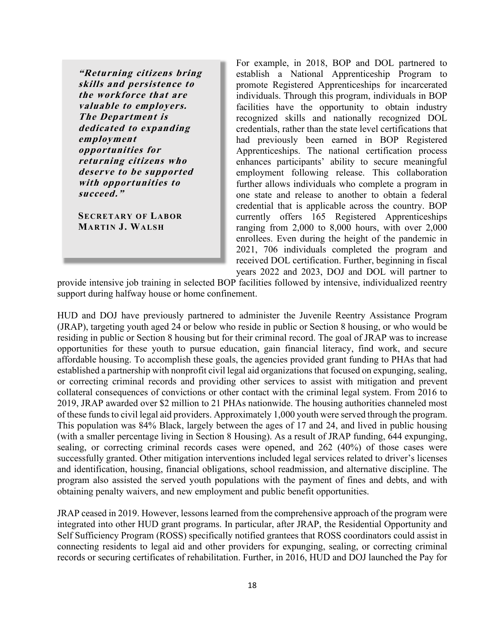**"Returning citizens bring skills and persistence to the workforce that are valuable to employers. The Department is dedicated to expanding employment opportunities for returning citizens who deserve to be supported with opportunities to succeed."**

**SECRETARY OF LABOR MARTIN J. WALSH**

For example, in 2018, BOP and DOL partnered to establish a National Apprenticeship Program to promote Registered Apprenticeships for incarcerated individuals. Through this program, individuals in BOP facilities have the opportunity to obtain industry recognized skills and nationally recognized DOL credentials, rather than the state level certifications that had previously been earned in BOP Registered Apprenticeships. The national certification process enhances participants' ability to secure meaningful employment following release. This collaboration further allows individuals who complete a program in one state and release to another to obtain a federal credential that is applicable across the country. BOP currently offers 165 Registered Apprenticeships ranging from 2,000 to 8,000 hours, with over 2,000 enrollees. Even during the height of the pandemic in 2021, 706 individuals completed the program and received DOL certification. Further, beginning in fiscal years 2022 and 2023, DOJ and DOL will partner to

provide intensive job training in selected BOP facilities followed by intensive, individualized reentry support during halfway house or home confinement.

HUD and DOJ have previously partnered to administer the Juvenile Reentry Assistance Program (JRAP), targeting youth aged 24 or below who reside in public or Section 8 housing, or who would be residing in public or Section 8 housing but for their criminal record. The goal of JRAP was to increase opportunities for these youth to pursue education, gain financial literacy, find work, and secure affordable housing. To accomplish these goals, the agencies provided grant funding to PHAs that had established a partnership with nonprofit civil legal aid organizations that focused on expunging, sealing, or correcting criminal records and providing other services to assist with mitigation and prevent collateral consequences of convictions or other contact with the criminal legal system. From 2016 to 2019, JRAP awarded over \$2 million to 21 PHAs nationwide. The housing authorities channeled most of these fundsto civil legal aid providers. Approximately 1,000 youth were served through the program. This population was 84% Black, largely between the ages of 17 and 24, and lived in public housing (with a smaller percentage living in Section 8 Housing). As a result of JRAP funding, 644 expunging, sealing, or correcting criminal records cases were opened, and 262 (40%) of those cases were successfully granted. Other mitigation interventions included legal services related to driver's licenses and identification, housing, financial obligations, school readmission, and alternative discipline. The program also assisted the served youth populations with the payment of fines and debts, and with obtaining penalty waivers, and new employment and public benefit opportunities.

JRAP ceased in 2019. However, lessons learned from the comprehensive approach of the program were integrated into other HUD grant programs. In particular, after JRAP, the Residential Opportunity and Self Sufficiency Program (ROSS) specifically notified grantees that ROSS coordinators could assist in connecting residents to legal aid and other providers for expunging, sealing, or correcting criminal records or securing certificates of rehabilitation. Further, in 2016, HUD and DOJ launched the Pay for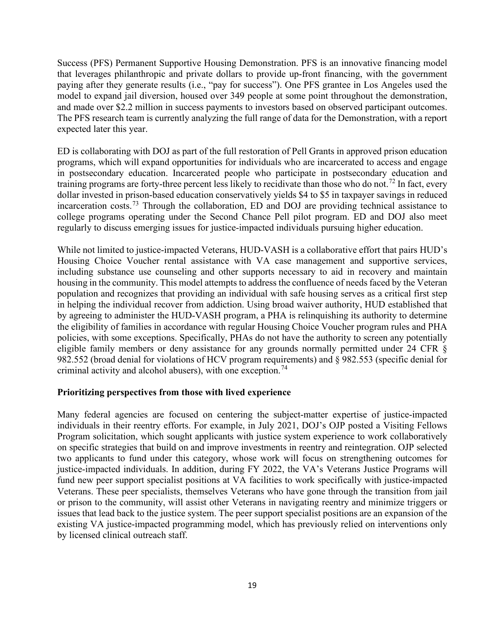Success (PFS) Permanent Supportive Housing Demonstration. PFS is an innovative financing model that leverages philanthropic and private dollars to provide up-front financing, with the government paying after they generate results (i.e., "pay for success"). One PFS grantee in Los Angeles used the model to expand jail diversion, housed over 349 people at some point throughout the demonstration, and made over \$2.2 million in success payments to investors based on observed participant outcomes. The PFS research team is currently analyzing the full range of data for the Demonstration, with a report expected later this year.

ED is collaborating with DOJ as part of the full restoration of Pell Grants in approved prison education programs, which will expand opportunities for individuals who are incarcerated to access and engage in postsecondary education. Incarcerated people who participate in postsecondary education and training programs are forty-three percent less likely to recidivate than those who do not.<sup>[72](#page-31-7)</sup> In fact, every dollar invested in prison-based education conservatively yields \$4 to \$5 in taxpayer savings in reduced incarceration costs.[73](#page-31-8) Through the collaboration, ED and DOJ are providing technical assistance to college programs operating under the Second Chance Pell pilot program. ED and DOJ also meet regularly to discuss emerging issues for justice-impacted individuals pursuing higher education.

While not limited to justice-impacted Veterans, HUD-VASH is a collaborative effort that pairs HUD's Housing Choice Voucher rental assistance with VA case management and supportive services, including substance use counseling and other supports necessary to aid in recovery and maintain housing in the community. This model attempts to address the confluence of needs faced by the Veteran population and recognizes that providing an individual with safe housing serves as a critical first step in helping the individual recover from addiction. Using broad waiver authority, HUD established that by agreeing to administer the HUD-VASH program, a PHA is relinquishing its authority to determine the eligibility of families in accordance with regular Housing Choice Voucher program rules and PHA policies, with some exceptions. Specifically, PHAs do not have the authority to screen any potentially eligible family members or deny assistance for any grounds normally permitted under 24 CFR § 982.552 (broad denial for violations of HCV program requirements) and § 982.553 (specific denial for criminal activity and alcohol abusers), with one exception.<sup>74</sup>

#### <span id="page-18-0"></span>**Prioritizing perspectives from those with lived experience**

Many federal agencies are focused on centering the subject-matter expertise of justice-impacted individuals in their reentry efforts. For example, in July 2021, DOJ's OJP posted a [Visiting Fellows](https://bja.ojp.gov/sites/g/files/xyckuh186/files/media/document/O-BJA-2021-152002.pdf) Program solicitation, which sought applicants with justice system experience to work collaboratively on specific strategies that build on and improve investments in reentry and reintegration. OJP selected two applicants to fund under this category, whose work will focus on strengthening outcomes for justice-impacted individuals. In addition, during FY 2022, the VA's Veterans Justice Programs will fund new peer support specialist positions at VA facilities to work specifically with justice-impacted Veterans. These peer specialists, themselves Veterans who have gone through the transition from jail or prison to the community, will assist other Veterans in navigating reentry and minimize triggers or issues that lead back to the justice system. The peer support specialist positions are an expansion of the existing VA justice-impacted programming model, which has previously relied on interventions only by licensed clinical outreach staff.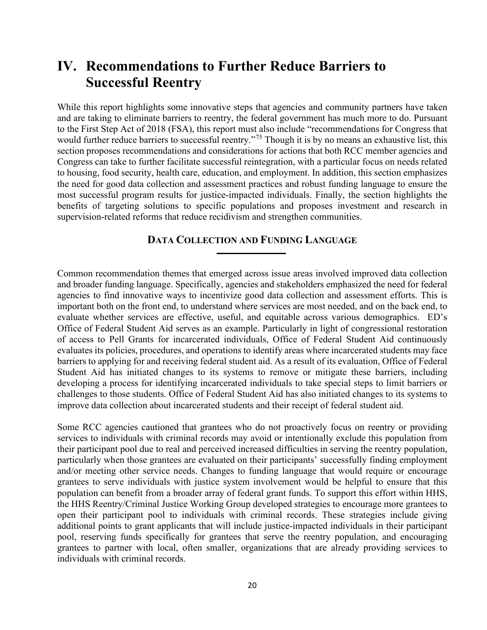# <span id="page-19-0"></span>**IV. Recommendations to Further Reduce Barriers to Successful Reentry**

While this report highlights some innovative steps that agencies and community partners have taken and are taking to eliminate barriers to reentry, the federal government has much more to do. Pursuant to the First Step Act of 2018 (FSA), this report must also include "recommendations for Congress that would further reduce barriers to successful reentry."<sup>[75](#page-31-10)</sup> Though it is by no means an exhaustive list, this section proposes recommendations and considerations for actions that both RCC member agencies and Congress can take to further facilitate successful reintegration, with a particular focus on needs related to housing, food security, health care, education, and employment. In addition, this section emphasizes the need for good data collection and assessment practices and robust funding language to ensure the most successful program results for justice-impacted individuals. Finally, the section highlights the benefits of targeting solutions to specific populations and proposes investment and research in supervision-related reforms that reduce recidivism and strengthen communities.

#### **DATA COLLECTION AND FUNDING LANGUAGE**

Common recommendation themes that emerged across issue areas involved improved data collection and broader funding language. Specifically, agencies and stakeholders emphasized the need for federal agencies to find innovative ways to incentivize good data collection and assessment efforts. This is important both on the front end, to understand where services are most needed, and on the back end, to evaluate whether services are effective, useful, and equitable across various demographics. ED's Office of Federal Student Aid serves as an example. Particularly in light of congressional restoration of access to Pell Grants for incarcerated individuals, Office of Federal Student Aid continuously evaluates its policies, procedures, and operations to identify areas where incarcerated students may face barriers to applying for and receiving federal student aid. As a result of its evaluation, Office of Federal Student Aid has initiated changes to its systems to remove or mitigate these barriers, including developing a process for identifying incarcerated individuals to take special steps to limit barriers or challenges to those students. Office of Federal Student Aid has also initiated changes to its systems to improve data collection about incarcerated students and their receipt of federal student aid.

Some RCC agencies cautioned that grantees who do not proactively focus on reentry or providing services to individuals with criminal records may avoid or intentionally exclude this population from their participant pool due to real and perceived increased difficulties in serving the reentry population, particularly when those grantees are evaluated on their participants' successfully finding employment and/or meeting other service needs. Changes to funding language that would require or encourage grantees to serve individuals with justice system involvement would be helpful to ensure that this population can benefit from a broader array of federal grant funds. To support this effort within HHS, the HHS Reentry/Criminal Justice Working Group developed strategies to encourage more grantees to open their participant pool to individuals with criminal records. These strategies include giving additional points to grant applicants that will include justice-impacted individuals in their participant pool, reserving funds specifically for grantees that serve the reentry population, and encouraging grantees to partner with local, often smaller, organizations that are already providing services to individuals with criminal records.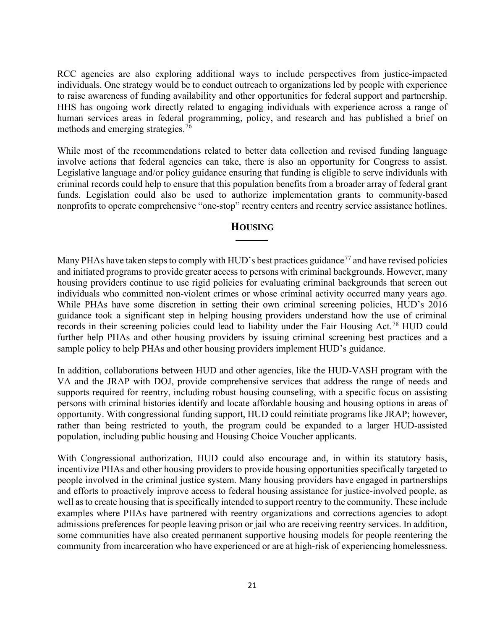RCC agencies are also exploring additional ways to include perspectives from justice-impacted individuals. One strategy would be to conduct outreach to organizations led by people with experience to raise awareness of funding availability and other opportunities for federal support and partnership. HHS has ongoing work directly related to engaging individuals with experience across a range of human services areas in federal programming, policy, and research and has published a brief on methods and emerging strategies.<sup>[76](#page-31-11)</sup>

While most of the recommendations related to better data collection and revised funding language involve actions that federal agencies can take, there is also an opportunity for Congress to assist. Legislative language and/or policy guidance ensuring that funding is eligible to serve individuals with criminal records could help to ensure that this population benefits from a broader array of federal grant funds. Legislation could also be used to authorize implementation grants to community-based nonprofits to operate comprehensive "one-stop" reentry centers and reentry service assistance hotlines.

#### **HOUSING**

<span id="page-20-0"></span>Many PHAs have taken steps to comply with HUD's best practices guidance<sup>[77](#page-31-12)</sup> and have revised policies and initiated programs to provide greater access to persons with criminal backgrounds. However, many housing providers continue to use rigid policies for evaluating criminal backgrounds that screen out individuals who committed non-violent crimes or whose criminal activity occurred many years ago. While PHAs have some discretion in setting their own criminal screening policies, HUD's 2016 guidance took a significant step in helping housing providers understand how the use of criminal records in their screening policies could lead to liability under the Fair Housing Act.<sup>[78](#page-31-13)</sup> HUD could further help PHAs and other housing providers by issuing criminal screening best practices and a sample policy to help PHAs and other housing providers implement HUD's guidance.

In addition, collaborations between HUD and other agencies, like the HUD-VASH program with the VA and the JRAP with DOJ, provide comprehensive services that address the range of needs and supports required for reentry, including robust housing counseling, with a specific focus on assisting persons with criminal histories identify and locate affordable housing and housing options in areas of opportunity. With congressional funding support, HUD could reinitiate programs like JRAP; however, rather than being restricted to youth, the program could be expanded to a larger HUD-assisted population, including public housing and Housing Choice Voucher applicants.

With Congressional authorization, HUD could also encourage and, in within its statutory basis, incentivize PHAs and other housing providers to provide housing opportunities specifically targeted to people involved in the criminal justice system. Many housing providers have engaged in partnerships and efforts to proactively improve access to federal housing assistance for justice-involved people, as well as to create housing that is specifically intended to support reentry to the community. These include examples where PHAs have partnered with reentry organizations and corrections agencies to adopt admissions preferences for people leaving prison or jail who are receiving reentry services. In addition, some communities have also created permanent supportive housing models for people reentering the community from incarceration who have experienced or are at high-risk of experiencing homelessness.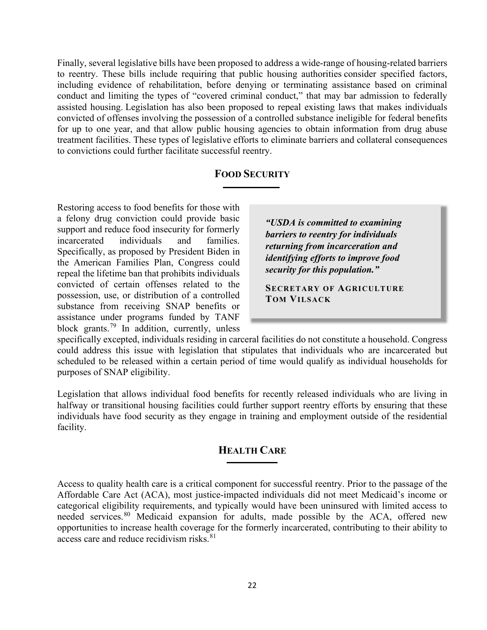Finally, several legislative bills have been proposed to address a wide-range of housing-related barriers to reentry. These bills include requiring that public housing authorities consider specified factors, including evidence of rehabilitation, before denying or terminating assistance based on criminal conduct and limiting the types of "covered criminal conduct," that may bar admission to federally assisted housing. Legislation has also been proposed to repeal existing laws that makes individuals convicted of offenses involving the possession of a controlled substance ineligible for federal benefits for up to one year, and that allow public housing agencies to obtain information from drug abuse treatment facilities. These types of legislative efforts to eliminate barriers and collateral consequences to convictions could further facilitate successful reentry.

#### **FOOD SECURITY**

<span id="page-21-0"></span>Restoring access to food benefits for those with a felony drug conviction could provide basic support and reduce food insecurity for formerly incarcerated individuals and families. Specifically, as proposed by President Biden in the American Families Plan, Congress could repeal the lifetime ban that prohibits individuals convicted of certain offenses related to the possession, use, or distribution of a controlled substance from receiving SNAP benefits or assistance under programs funded by TANF block grants.<sup>[79](#page-31-14)</sup> In addition, currently, unless

*"USDA is committed to examining barriers to reentry for individuals returning from incarceration and identifying efforts to improve food security for this population."*

**SECRETARY OF AGRICULTURE TOM VILSACK**

specifically excepted, individuals residing in carceral facilities do not constitute a household. Congress could address this issue with legislation that stipulates that individuals who are incarcerated but scheduled to be released within a certain period of time would qualify as individual households for purposes of SNAP eligibility.

<span id="page-21-1"></span>Legislation that allows individual food benefits for recently released individuals who are living in halfway or transitional housing facilities could further support reentry efforts by ensuring that these individuals have food security as they engage in training and employment outside of the residential facility.

#### **HEALTH CARE**

Access to quality health care is a critical component for successful reentry. Prior to the passage of the Affordable Care Act (ACA), most justice-impacted individuals did not meet Medicaid's income or categorical eligibility requirements, and typically would have been uninsured with limited access to needed services.<sup>[80](#page-31-15)</sup> Medicaid expansion for adults, made possible by the ACA, offered new opportunities to increase health coverage for the formerly incarcerated, contributing to their ability to access care and reduce recidivism risks.<sup>81</sup>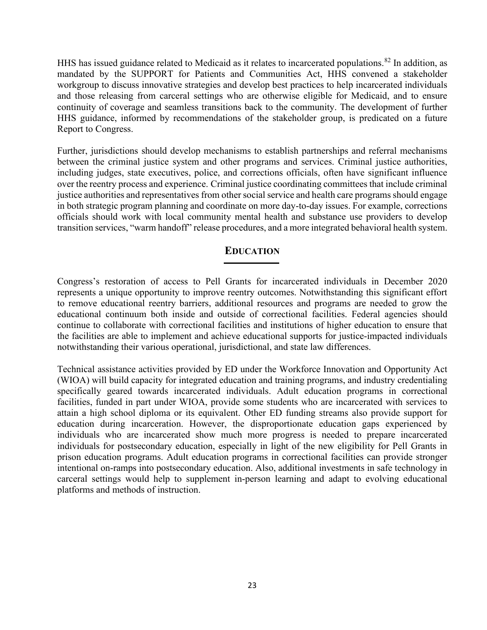HHS has issued guidance related to Medicaid as it relates to incarcerated populations.<sup>82</sup> In addition, as mandated by the SUPPORT for Patients and Communities Act, HHS convened a stakeholder workgroup to discuss innovative strategies and develop best practices to help incarcerated individuals and those releasing from carceral settings who are otherwise eligible for Medicaid, and to ensure continuity of coverage and seamless transitions back to the community. The development of further HHS guidance, informed by recommendations of the stakeholder group, is predicated on a future Report to Congress.

Further, jurisdictions should develop mechanisms to establish partnerships and referral mechanisms between the criminal justice system and other programs and services. Criminal justice authorities, including judges, state executives, police, and corrections officials, often have significant influence over the reentry process and experience. Criminal justice coordinating committees that include criminal justice authorities and representatives from other social service and health care programs should engage in both strategic program planning and coordinate on more day-to-day issues. For example, corrections officials should work with local community mental health and substance use providers to develop transition services, "warm handoff" release procedures, and a more integrated behavioral health system.

#### **EDUCATION**

<span id="page-22-0"></span>Congress's restoration of access to Pell Grants for incarcerated individuals in December 2020 represents a unique opportunity to improve reentry outcomes. Notwithstanding this significant effort to remove educational reentry barriers, additional resources and programs are needed to grow the educational continuum both inside and outside of correctional facilities. Federal agencies should continue to collaborate with correctional facilities and institutions of higher education to ensure that the facilities are able to implement and achieve educational supports for justice-impacted individuals notwithstanding their various operational, jurisdictional, and state law differences.

Technical assistance activities provided by ED under the Workforce Innovation and Opportunity Act (WIOA) will build capacity for integrated education and training programs, and industry credentialing specifically geared towards incarcerated individuals. Adult education programs in correctional facilities, funded in part under WIOA, provide some students who are incarcerated with services to attain a high school diploma or its equivalent. Other ED funding streams also provide support for education during incarceration. However, the disproportionate education gaps experienced by individuals who are incarcerated show much more progress is needed to prepare incarcerated individuals for postsecondary education, especially in light of the new eligibility for Pell Grants in prison education programs. Adult education programs in correctional facilities can provide stronger intentional on-ramps into postsecondary education. Also, additional investments in safe technology in carceral settings would help to supplement in-person learning and adapt to evolving educational platforms and methods of instruction.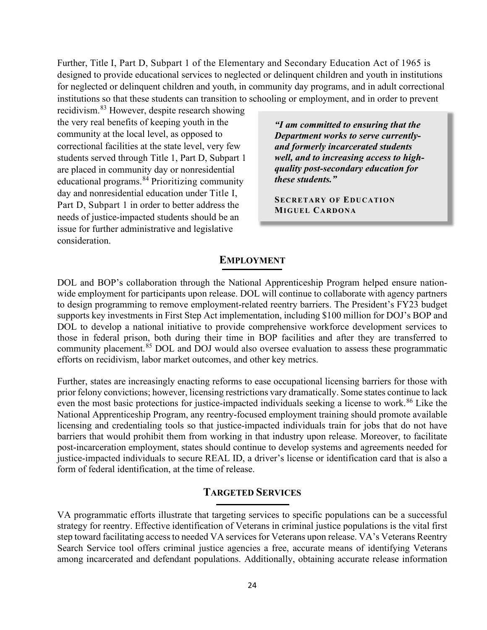Further, Title I, Part D, Subpart 1 of the Elementary and Secondary Education Act of 1965 is designed to provide educational services to neglected or delinquent children and youth in institutions for neglected or delinquent children and youth, in community day programs, and in adult correctional institutions so that these students can transition to schooling or employment, and in order to prevent

recidivism.[83](#page-32-1) However, despite research showing the very real benefits of keeping youth in the community at the local level, as opposed to correctional facilities at the state level, very few students served through Title 1, Part D, Subpart 1 are placed in community day or nonresidential educational programs.[84](#page-32-2) Prioritizing community day and nonresidential education under Title I, Part D, Subpart 1 in order to better address the needs of justice-impacted students should be an issue for further administrative and legislative consideration.

*"I am committed to ensuring that the Department works to serve currentlyand formerly incarcerated students well, and to increasing access to highquality post-secondary education for these students."* 

**SECRETARY OF EDUCATION MIGUEL CARDONA**

#### **EMPLOYMENT**

<span id="page-23-0"></span>DOL and BOP's collaboration through the National Apprenticeship Program helped ensure nationwide employment for participants upon release. DOL will continue to collaborate with agency partners to design programming to remove employment-related reentry barriers. The President's FY23 budget supports key investments in First Step Act implementation, including \$100 million for DOJ's BOP and DOL to develop a national initiative to provide comprehensive workforce development services to those in federal prison, both during their time in BOP facilities and after they are transferred to community placement.<sup>[85](#page-32-3)</sup> DOL and DOJ would also oversee evaluation to assess these programmatic efforts on recidivism, labor market outcomes, and other key metrics.

Further, states are increasingly enacting reforms to ease occupational licensing barriers for those with prior felony convictions; however, licensing restrictions vary dramatically. Some states continue to lack even the most basic protections for justice-impacted individuals seeking a license to work.<sup>[86](#page-32-4)</sup> Like the National Apprenticeship Program, any reentry-focused employment training should promote available licensing and credentialing tools so that justice-impacted individuals train for jobs that do not have barriers that would prohibit them from working in that industry upon release. Moreover, to facilitate post-incarceration employment, states should continue to develop systems and agreements needed for justice-impacted individuals to secure REAL ID, a driver's license or identification card that is also a form of federal identification, at the time of release.

#### <span id="page-23-1"></span>**TARGETED SERVICES**

VA programmatic efforts illustrate that targeting services to specific populations can be a successful strategy for reentry. Effective identification of Veterans in criminal justice populations is the vital first step toward facilitating access to needed VA services for Veterans upon release. VA's Veterans Reentry Search Service tool offers criminal justice agencies a free, accurate means of identifying Veterans among incarcerated and defendant populations. Additionally, obtaining accurate release information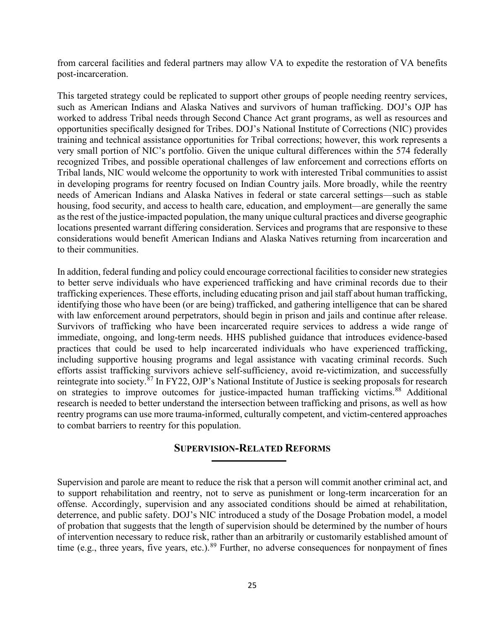from carceral facilities and federal partners may allow VA to expedite the restoration of VA benefits post-incarceration.

This targeted strategy could be replicated to support other groups of people needing reentry services, such as American Indians and Alaska Natives and survivors of human trafficking. DOJ's OJP has worked to address Tribal needs through Second Chance Act grant programs, as well as resources and opportunities specifically designed for Tribes. DOJ's National Institute of Corrections (NIC) provides training and technical assistance opportunities for Tribal corrections; however, this work represents a very small portion of NIC's portfolio. Given the unique cultural differences within the 574 federally recognized Tribes, and possible operational challenges of law enforcement and corrections efforts on Tribal lands, NIC would welcome the opportunity to work with interested Tribal communities to assist in developing programs for reentry focused on Indian Country jails. More broadly, while the reentry needs of American Indians and Alaska Natives in federal or state carceral settings—such as stable housing, food security, and access to health care, education, and employment—are generally the same as the rest of the justice-impacted population, the many unique cultural practices and diverse geographic locations presented warrant differing consideration. Services and programs that are responsive to these considerations would benefit American Indians and Alaska Natives returning from incarceration and to their communities.

In addition, federal funding and policy could encourage correctional facilities to consider new strategies to better serve individuals who have experienced trafficking and have criminal records due to their trafficking experiences. These efforts, including educating prison and jail staff about human trafficking, identifying those who have been (or are being) trafficked, and gathering intelligence that can be shared with law enforcement around perpetrators, should begin in prison and jails and continue after release. Survivors of trafficking who have been incarcerated require services to address a wide range of immediate, ongoing, and long-term needs. HHS published guidance that introduces evidence-based practices that could be used to help incarcerated individuals who have experienced trafficking, including supportive housing programs and legal assistance with vacating criminal records. Such efforts assist trafficking survivors achieve self-sufficiency, avoid re-victimization, and successfully reintegrate into society.<sup>[87](#page-32-5)</sup> In FY22, OJP's National Institute of Justice is seeking proposals for research on strategies to improve outcomes for justice-impacted human trafficking victims.<sup>88</sup> Additional research is needed to better understand the intersection between trafficking and prisons, as well as how reentry programs can use more trauma-informed, culturally competent, and victim-centered approaches to combat barriers to reentry for this population.

#### <span id="page-24-0"></span>**SUPERVISION-RELATED REFORMS**

Supervision and parole are meant to reduce the risk that a person will commit another criminal act, and to support rehabilitation and reentry, not to serve as punishment or long-term incarceration for an offense. Accordingly, supervision and any associated conditions should be aimed at rehabilitation, deterrence, and public safety. DOJ's NIC introduced a study of the Dosage Probation model, a model of probation that suggests that the length of supervision should be determined by the number of hours of intervention necessary to reduce risk, rather than an arbitrarily or customarily established amount of time (e.g., three years, five years, etc.).<sup>89</sup> Further, no adverse consequences for nonpayment of fines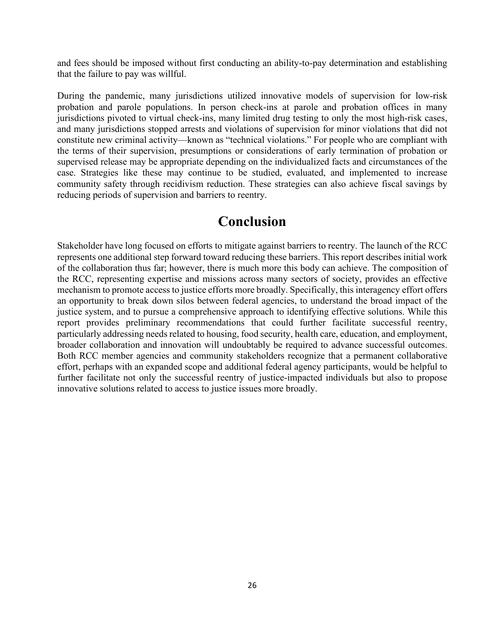and fees should be imposed without first conducting an ability-to-pay determination and establishing that the failure to pay was willful.

During the pandemic, many jurisdictions utilized innovative models of supervision for low-risk probation and parole populations. In person check-ins at parole and probation offices in many jurisdictions pivoted to virtual check-ins, many limited drug testing to only the most high-risk cases, and many jurisdictions stopped arrests and violations of supervision for minor violations that did not constitute new criminal activity—known as "technical violations." For people who are compliant with the terms of their supervision, presumptions or considerations of early termination of probation or supervised release may be appropriate depending on the individualized facts and circumstances of the case. Strategies like these may continue to be studied, evaluated, and implemented to increase community safety through recidivism reduction. These strategies can also achieve fiscal savings by reducing periods of supervision and barriers to reentry.

## **Conclusion**

<span id="page-25-0"></span>Stakeholder have long focused on efforts to mitigate against barriers to reentry. The launch of the RCC represents one additional step forward toward reducing these barriers. This report describes initial work of the collaboration thus far; however, there is much more this body can achieve. The composition of the RCC, representing expertise and missions across many sectors of society, provides an effective mechanism to promote access to justice efforts more broadly. Specifically, this interagency effort offers an opportunity to break down silos between federal agencies, to understand the broad impact of the justice system, and to pursue a comprehensive approach to identifying effective solutions. While this report provides preliminary recommendations that could further facilitate successful reentry, particularly addressing needs related to housing, food security, health care, education, and employment, broader collaboration and innovation will undoubtably be required to advance successful outcomes. Both RCC member agencies and community stakeholders recognize that a permanent collaborative effort, perhaps with an expanded scope and additional federal agency participants, would be helpful to further facilitate not only the successful reentry of justice-impacted individuals but also to propose innovative solutions related to access to justice issues more broadly.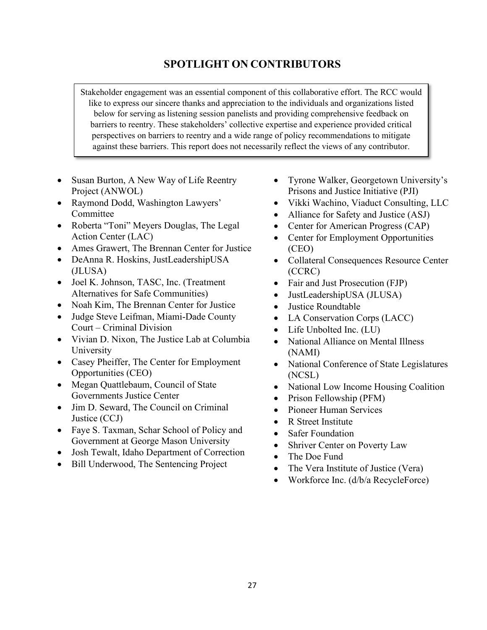### **SPOTLIGHT ON CONTRIBUTORS**

Stakeholder engagement was an essential component of this collaborative effort. The RCC would like to express our sincere thanks and appreciation to the individuals and organizations listed below for serving as listening session panelists and providing comprehensive feedback on barriers to reentry. These stakeholders' collective expertise and experience provided critical perspectives on barriers to reentry and a wide range of policy recommendations to mitigate against these barriers. This report does not necessarily reflect the views of any contributor.

- Susan Burton, A New Way of Life Reentry Project (ANWOL)
- Raymond Dodd, Washington Lawyers' Committee
- Roberta "Toni" Meyers Douglas, The Legal Action Center (LAC)
- Ames Grawert, The Brennan Center for Justice
- DeAnna R. Hoskins, JustLeadershipUSA (JLUSA)
- Joel K. Johnson, TASC, Inc. (Treatment Alternatives for Safe Communities)
- Noah Kim, The Brennan Center for Justice
- Judge Steve Leifman, Miami-Dade County Court – Criminal Division
- Vivian D. Nixon, The Justice Lab at Columbia University
- Casey Pheiffer, The Center for Employment Opportunities (CEO)
- Megan Quattlebaum, Council of State Governments Justice Center
- Jim D. Seward, The Council on Criminal Justice (CCJ)
- Faye S. Taxman, Schar School of Policy and Government at George Mason University
- Josh Tewalt, Idaho Department of Correction
- Bill Underwood, The Sentencing Project
- Tyrone Walker, Georgetown University's Prisons and Justice Initiative (PJI)
- Vikki Wachino, Viaduct Consulting, LLC
- Alliance for Safety and Justice (ASJ)
- Center for American Progress (CAP)
- Center for Employment Opportunities (CEO)
- Collateral Consequences Resource Center (CCRC)
- Fair and Just Prosecution (FJP)
- JustLeadershipUSA (JLUSA)
- Justice Roundtable
- LA Conservation Corps (LACC)
- Life Unbolted Inc. (LU)
- National Alliance on Mental Illness (NAMI)
- National Conference of State Legislatures (NCSL)
- National Low Income Housing Coalition
- Prison Fellowship (PFM)
- Pioneer Human Services
- R Street Institute
- **Safer Foundation**
- Shriver Center on Poverty Law
- The Doe Fund
- The Vera Institute of Justice (Vera)
- Workforce Inc. (d/b/a RecycleForce)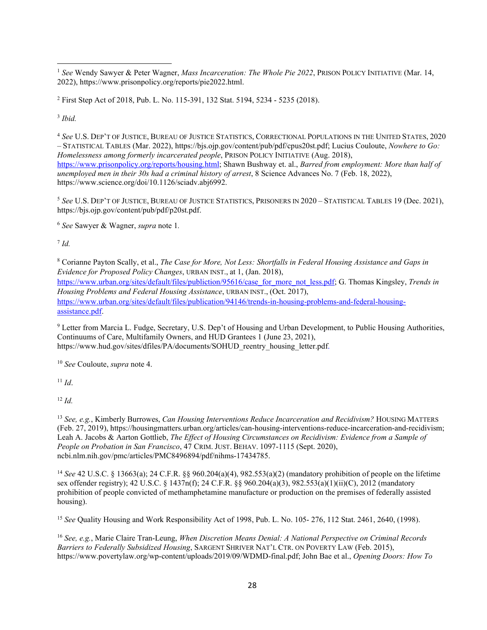<span id="page-27-0"></span><sup>1</sup> *See* Wendy Sawyer & Peter Wagner, *Mass Incarceration: The Whole Pie 2022*, PRISON POLICY INITIATIVE (Mar. 14, 2022), https://www.prisonpolicy.org/reports/pie2022.html.

<span id="page-27-1"></span><sup>2</sup> First Step Act of 2018, Pub. L. No. 115-391, 132 Stat. 5194, 5234 - 5235 (2018).

<span id="page-27-2"></span><sup>3</sup> *Ibid.* 

<span id="page-27-3"></span><sup>4</sup> *See* U.S. DEP'T OF JUSTICE, BUREAU OF JUSTICE STATISTICS, CORRECTIONAL POPULATIONS IN THE UNITED STATES, 2020 – STATISTICAL TABLES (Mar. 2022), https://bjs.ojp.gov/content/pub/pdf/cpus20st.pdf; Lucius Couloute, *Nowhere to Go: Homelessness among formerly incarcerated people*, PRISON POLICY INITIATIVE (Aug. 2018), [https://www.prisonpolicy.org/reports/housing.html;](https://www.prisonpolicy.org/reports/housing.html) Shawn Bushway et. al., *Barred from employment: More than half of unemployed men in their 30s had a criminal history of arrest*, 8 Science Advances No. 7 (Feb. 18, 2022), https://www.science.org/doi/10.1126/sciadv.abj6992.

<span id="page-27-4"></span><sup>5</sup> *See* U.S. DEP'T OF JUSTICE, BUREAU OF JUSTICE STATISTICS, PRISONERS IN 2020 – STATISTICAL TABLES 19 (Dec. 2021), https://bjs.ojp.gov/content/pub/pdf/p20st.pdf.

<span id="page-27-5"></span><sup>6</sup> *See* Sawyer & Wagner, *supra* note 1*.*

<span id="page-27-6"></span><sup>7</sup> *Id.*

<span id="page-27-7"></span><sup>8</sup> Corianne Payton Scally, et al., *The Case for More, Not Less: Shortfalls in Federal Housing Assistance and Gaps in Evidence for Proposed Policy Changes*, URBAN INST., at 1, (Jan. 2018), [https://www.urban.org/sites/default/files/publiction/95616/case\\_for\\_more\\_not\\_less.pdf;](https://www.urban.org/sites/default/files/publiction/95616/case_for_more_not_less.pdf) G. Thomas Kingsley, *Trends in Housing Problems and Federal Housing Assistance*, URBAN INST., (Oct. 2017), [https://www.urban.org/sites/default/files/publication/94146/trends-in-housing-problems-and-federal-housing](https://www.urban.org/sites/default/files/publication/94146/trends-in-housing-problems-and-federal-housing-assistance.pdf)[assistance.pdf.](https://www.urban.org/sites/default/files/publication/94146/trends-in-housing-problems-and-federal-housing-assistance.pdf)

<span id="page-27-8"></span><sup>9</sup> Letter from Marcia L. Fudge, Secretary, U.S. Dep't of Housing and Urban Development, to Public Housing Authorities, Continuums of Care, Multifamily Owners, and HUD Grantees 1 (June 23, 2021), https://www.hud.gov/sites/dfiles/PA/documents/SOHUD\_reentry\_housing\_letter.pdf.

<span id="page-27-9"></span><sup>10</sup> *See* Couloute, *supra* note 4.

<span id="page-27-10"></span> $11$  *Id.* 

<span id="page-27-11"></span> $12 \, Id.$ 

<span id="page-27-12"></span><sup>13</sup> *See, e.g.*, Kimberly Burrowes, *Can Housing Interventions Reduce Incarceration and Recidivism?* HOUSING MATTERS (Feb. 27, 2019), https://housingmatters.urban.org/articles/can-housing-interventions-reduce-incarceration-and-recidivism; Leah A. Jacobs & Aarton Gottlieb, *The Effect of Housing Circumstances on Recidivism: Evidence from a Sample of People on Probation in San Francisco*, 47 CRIM. JUST. BEHAV. 1097-1115 (Sept. 2020), ncbi.nlm.nih.gov/pmc/articles/PMC8496894/pdf/nihms-17434785.

<span id="page-27-13"></span><sup>14</sup> *See* 42 U.S.C. § 13663(a); 24 C.F.R. §§ 960.204(a)(4), 982.553(a)(2) (mandatory prohibition of people on the lifetime sex offender registry); 42 U.S.C. § 1437n(f); 24 C.F.R. §§ 960.204(a)(3), 982.553(a)(1)(ii)(C), 2012 (mandatory prohibition of people convicted of methamphetamine manufacture or production on the premises of federally assisted housing).

<span id="page-27-14"></span><sup>15</sup> See Quality Housing and Work Responsibility Act of 1998, Pub. L. No. 105- 276, 112 Stat. 2461, 2640, (1998).

<span id="page-27-15"></span><sup>16</sup> *See, e.g.*, Marie Claire Tran-Leung, *When Discretion Means Denial: A National Perspective on Criminal Records Barriers to Federally Subsidized Housing*, SARGENT SHRIVER NAT'L CTR. ON POVERTY LAW (Feb. 2015), https://www.povertylaw.org/wp-content/uploads/2019/09/WDMD-final.pdf; John Bae et al., *Opening Doors: How To*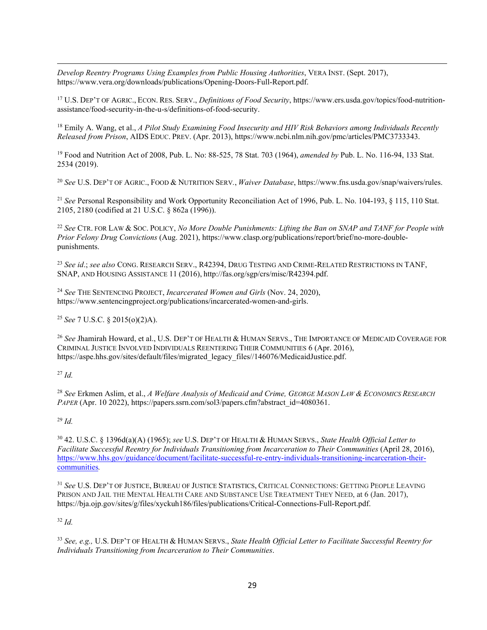*Develop Reentry Programs Using Examples from Public Housing Authorities*, VERA INST. (Sept. 2017), https://www.vera.org/downloads/publications/Opening-Doors-Full-Report.pdf.

<span id="page-28-0"></span><sup>17</sup> U.S. DEP'T OF AGRIC., ECON. RES. SERV., *Definitions of Food Security*, https://www.ers.usda.gov/topics/food-nutritionassistance/food-security-in-the-u-s/definitions-of-food-security.

<span id="page-28-1"></span><sup>18</sup> Emily A. Wang, et al., *A Pilot Study Examining Food Insecurity and HIV Risk Behaviors among Individuals Recently Released from Prison*, AIDS EDUC. PREV. (Apr. 2013), https://www.ncbi.nlm.nih.gov/pmc/articles/PMC3733343.

<span id="page-28-2"></span><sup>19</sup> Food and Nutrition Act of 2008, Pub. L. No: 88-525, 78 Stat. 703 (1964), *amended by* Pub. L. No. 116-94, 133 Stat. 2534 (2019).

<span id="page-28-3"></span><sup>20</sup> *See* U.S. DEP'T OF AGRIC., FOOD & NUTRITION SERV*.*, *Waiver Database*, https://www.fns.usda.gov/snap/waivers/rules.

<span id="page-28-4"></span><sup>21</sup> *See* Personal Responsibility and Work Opportunity Reconciliation Act of 1996, Pub. L. No. 104-193, § 115, 110 Stat. 2105, 2180 (codified at 21 U.S.C. § 862a (1996)).

<span id="page-28-5"></span><sup>22</sup> *See* CTR. FOR LAW & SOC. POLICY, *No More Double Punishments: Lifting the Ban on SNAP and TANF for People with Prior Felony Drug Convictions* (Aug. 2021), [https://www.clasp.org/publications/report/brief/no-more-double](https://www.clasp.org/publications/report/brief/no-more-double-punishments)[punishments.](https://www.clasp.org/publications/report/brief/no-more-double-punishments)

<span id="page-28-6"></span><sup>23</sup> *See id*.; *see also* CONG. RESEARCH SERV., R42394, DRUG TESTING AND CRIME-RELATED RESTRICTIONS IN TANF, SNAP, AND HOUSING ASSISTANCE 11 (2016), http://fas.org/sgp/crs/misc/R42394.pdf.

<span id="page-28-7"></span><sup>24</sup> *See* THE SENTENCING PROJECT, *Incarcerated Women and Girls* (Nov. 24, 2020), https://www.sentencingproject.org/publications/incarcerated-women-and-girls.

<span id="page-28-8"></span><sup>25</sup> *See* 7 U.S.C. § 2015(o)(2)A).

<span id="page-28-9"></span><sup>26</sup> *See* Jhamirah Howard, et al., U.S. DEP'T OF HEALTH & HUMAN SERVS., THE IMPORTANCE OF MEDICAID COVERAGE FOR CRIMINAL JUSTICE INVOLVED INDIVIDUALS REENTERING THEIR COMMUNITIES 6 (Apr. 2016), https://aspe.hhs.gov/sites/default/files/migrated\_legacy\_files//146076/MedicaidJustice.pdf.

#### <span id="page-28-10"></span><sup>27</sup> *Id.*

<span id="page-28-11"></span><sup>28</sup> *See* Erkmen Aslim, et al., *A Welfare Analysis of Medicaid and Crime, GEORGE MASON LAW & ECONOMICS RESEARCH*  PAPER (Apr. 10 2022), https://papers.ssrn.com/sol3/papers.cfm?abstract\_id=4080361.

#### <span id="page-28-12"></span><sup>29</sup> *Id.*

<span id="page-28-13"></span><sup>30</sup> 42. U.S.C. § 1396d(a)(A) (1965); *see* U.S. DEP'T OF HEALTH & HUMAN SERVS., *State Health Official Letter to Facilitate Successful Reentry for Individuals Transitioning from Incarceration to Their Communities* (April 28, 2016), [https://www.hhs.gov/guidance/document/facilitate-successful-re-entry-individuals-transitioning-incarceration-their](https://www.hhs.gov/guidance/document/facilitate-successful-re-entry-individuals-transitioning-incarceration-their-communities)[communities](https://www.hhs.gov/guidance/document/facilitate-successful-re-entry-individuals-transitioning-incarceration-their-communities)*.*

<span id="page-28-14"></span><sup>31</sup> *See* U.S. DEP'T OF JUSTICE, BUREAU OF JUSTICE STATISTICS, CRITICAL CONNECTIONS: GETTING PEOPLE LEAVING PRISON AND JAIL THE MENTAL HEALTH CARE AND SUBSTANCE USE TREATMENT THEY NEED, at 6 (Jan. 2017), https://bja.ojp.gov/sites/g/files/xyckuh186/files/publications/Critical-Connections-Full-Report.pdf.

#### <span id="page-28-15"></span><sup>32</sup> *Id.*

<span id="page-28-16"></span><sup>33</sup> *See, e.g.,* U.S. DEP'T OF HEALTH & HUMAN SERVS., *State Health Official Letter to Facilitate Successful Reentry for Individuals Transitioning from Incarceration to Their Communities*.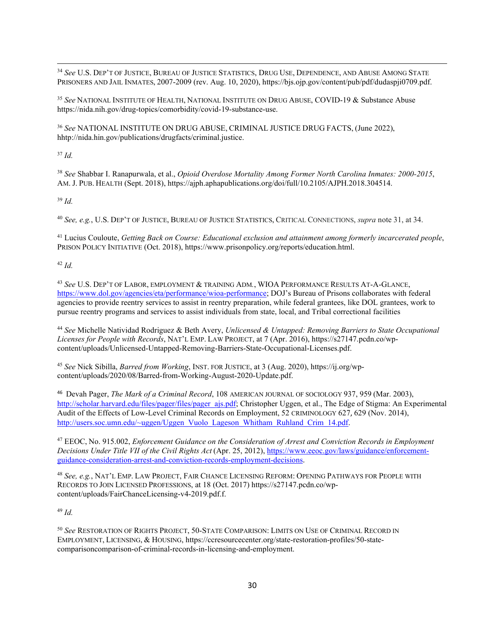<span id="page-29-0"></span><sup>34</sup> *See* U.S. DEP'T OF JUSTICE, BUREAU OF JUSTICE STATISTICS, DRUG USE, DEPENDENCE, AND ABUSE AMONG STATE PRISONERS AND JAIL INMATES, 2007-2009 (rev. Aug. 10, 2020), https://bjs.ojp.gov/content/pub/pdf/dudaspji0709.pdf.

<span id="page-29-1"></span><sup>35</sup> *See* NATIONAL INSTITUTE OF HEALTH, NATIONAL INSTITUTE ON DRUG ABUSE, COVID-19 & Substance Abuse https://nida.nih.gov/drug-topics/comorbidity/covid-19-substance-use.

<span id="page-29-2"></span><sup>36</sup> *See* NATIONAL INSTITUTE ON DRUG ABUSE, CRIMINAL JUSTICE DRUG FACTS, (June 2022), hhtp://nida.hin.gov/publications/drugfacts/criminal.justice.

<span id="page-29-3"></span><sup>37</sup> *Id.*

<span id="page-29-4"></span><sup>38</sup> *See* Shabbar I. Ranapurwala, et al., *Opioid Overdose Mortality Among Former North Carolina Inmates: 2000-2015*, AM. J. PUB. HEALTH (Sept. 2018), https://ajph.aphapublications.org/doi/full/10.2105/AJPH.2018.304514.

<span id="page-29-5"></span><sup>39</sup> *Id.* 

<span id="page-29-6"></span><sup>40</sup> *See, e.g.*, U.S. DEP'T OF JUSTICE, BUREAU OF JUSTICE STATISTICS, CRITICAL CONNECTIONS, *supra* note 31, at 34.

<span id="page-29-7"></span><sup>41</sup> Lucius Couloute, *Getting Back on Course: Educational exclusion and attainment among formerly incarcerated people*, PRISON POLICY INITIATIVE (Oct. 2018), https://www.prisonpolicy.org/reports/education.html.

<span id="page-29-8"></span><sup>42</sup> *Id.*

<span id="page-29-9"></span><sup>43</sup> *See* U.S. DEP'T OF LABOR, EMPLOYMENT & TRAINING ADM*.*, WIOA PERFORMANCE RESULTS AT-A-GLANCE, [https://www.dol.gov/agencies/eta/performance/wioa-performance;](https://www.dol.gov/agencies/eta/performance/wioa-performance) DOJ's Bureau of Prisons collaborates with federal agencies to provide reentry services to assist in reentry preparation, while federal grantees, like DOL grantees, work to pursue reentry programs and services to assist individuals from state, local, and Tribal correctional facilities

<span id="page-29-10"></span><sup>44</sup> *See* Michelle Natividad Rodriguez & Beth Avery, *Unlicensed & Untapped: Removing Barriers to State Occupational Licenses for People with Records*, NAT'L EMP. LAW PROJECT, at 7 (Apr. 2016), https://s27147.pcdn.co/wpcontent/uploads/Unlicensed-Untapped-Removing-Barriers-State-Occupational-Licenses.pdf.

<span id="page-29-11"></span><sup>45</sup> *See* Nick Sibilla, *Barred from Working*, INST. FOR JUSTICE, at 3 (Aug. 2020), https://ij.org/wpcontent/uploads/2020/08/Barred-from-Working-August-2020-Update.pdf.

<span id="page-29-12"></span>46 Devah Pager, *The Mark of a Criminal Record*, 108 AMERICAN JOURNAL OF SOCIOLOGY 937, 959 (Mar. 2003), [http://scholar.harvard.edu/files/pager/files/pager\\_ajs.pdf;](http://scholar.harvard.edu/files/pager/files/pager_ajs.pdf) Christopher Uggen, et al., The Edge of Stigma: An Experimental Audit of the Effects of Low-Level Criminal Records on Employment, 52 CRIMINOLOGY 627, 629 (Nov. 2014), [http://users.soc.umn.edu/~uggen/Uggen\\_Vuolo\\_Lageson\\_Whitham\\_Ruhland\\_Crim\\_14.pdf.](http://users.soc.umn.edu/%7Euggen/Uggen_Vuolo_Lageson_Whitham_Ruhland_Crim_14.pdf)

<span id="page-29-13"></span><sup>47</sup> EEOC, No. 915.002, *Enforcement Guidance on the Consideration of Arrest and Conviction Records in Employment Decisions Under Title VII of the Civil Rights Act* (Apr. 25, 2012)[, https://www.eeoc.gov/laws/guidance/enforcement](https://www.eeoc.gov/laws/guidance/enforcement-guidance-consideration-arrest-and-conviction-records-employment-decisions)[guidance-consideration-arrest-and-conviction-records-employment-decisions](https://www.eeoc.gov/laws/guidance/enforcement-guidance-consideration-arrest-and-conviction-records-employment-decisions).

<span id="page-29-14"></span><sup>48</sup> *See, e.g.*, NAT'L EMP. LAW PROJECT, FAIR CHANCE LICENSING REFORM: OPENING PATHWAYS FOR PEOPLE WITH RECORDS TO JOIN LICENSED PROFESSIONS, at 18 (Oct. 2017) https://s27147.pcdn.co/wpcontent/uploads/FairChanceLicensing-v4-2019.pdf.f.

<span id="page-29-15"></span><sup>49</sup> *Id.*

<span id="page-29-16"></span><sup>50</sup> *See* RESTORATION OF RIGHTS PROJECT, 50-STATE COMPARISON: LIMITS ON USE OF CRIMINAL RECORD IN EMPLOYMENT, LICENSING, & HOUSING, https://ccresourcecenter.org/state-restoration-profiles/50-statecomparisoncomparison-of-criminal-records-in-licensing-and-employment.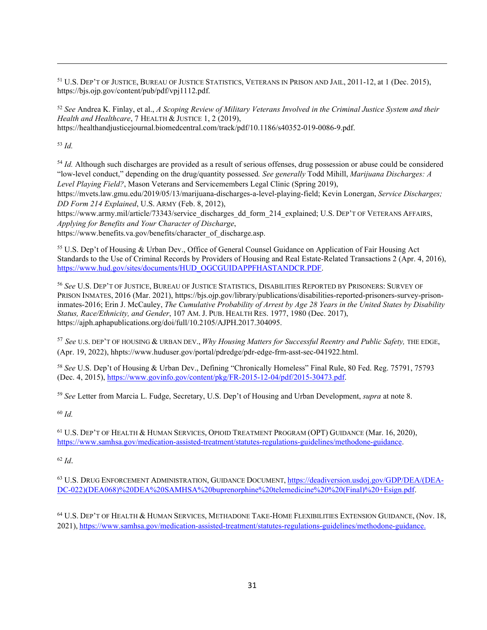<span id="page-30-0"></span><sup>51</sup> U.S. DEP'T OF JUSTICE, BUREAU OF JUSTICE STATISTICS, VETERANS IN PRISON AND JAIL, 2011-12, at 1 (Dec. 2015), https://bjs.ojp.gov/content/pub/pdf/vpj1112.pdf.

<span id="page-30-1"></span><sup>52</sup> *See* Andrea K. Finlay, et al., *A Scoping Review of Military Veterans Involved in the Criminal Justice System and their Health and Healthcare*, 7 HEALTH & JUSTICE 1, 2 (2019), https://healthandjusticejournal.biomedcentral.com/track/pdf/10.1186/s40352-019-0086-9.pdf.

<span id="page-30-2"></span><sup>53</sup> *Id.*

<span id="page-30-3"></span><sup>54</sup> *Id.* Although such discharges are provided as a result of serious offenses, drug possession or abuse could be considered "low-level conduct," depending on the drug/quantity possessed*. See generally* Todd Mihill, *Marijuana Discharges: A Level Playing Field?*, Mason Veterans and Servicemembers Legal Clinic (Spring 2019),

https://mvets.law.gmu.edu/2019/05/13/marijuana-discharges-a-level-playing-field; Kevin Lonergan, *Service Discharges; DD Form 214 Explained*, U.S. ARMY (Feb. 8, 2012),

https://www.army.mil/article/73343/service\_discharges\_dd\_form\_214\_explained; U.S. DEP'T OF VETERANS AFFAIRS, *Applying for Benefits and Your Character of Discharge*,

https://www.benefits.va.gov/benefits/character\_of\_discharge.asp.

<span id="page-30-4"></span><sup>55</sup> U.S. Dep't of Housing & Urban Dev., Office of General Counsel Guidance on Application of Fair Housing Act Standards to the Use of Criminal Records by Providers of Housing and Real Estate-Related Transactions 2 (Apr. 4, 2016), [https://www.hud.gov/sites/documents/HUD\\_OGCGUIDAPPFHASTANDCR.PDF.](https://www.hud.gov/sites/documents/HUD_OGCGUIDAPPFHASTANDCR.PDF)

<span id="page-30-5"></span><sup>56</sup> *See* U.S. DEP'T OF JUSTICE, BUREAU OF JUSTICE STATISTICS, DISABILITIES REPORTED BY PRISONERS: SURVEY OF PRISON INMATES, 2016 (Mar. 2021), https://bjs.ojp.gov/library/publications/disabilities-reported-prisoners-survey-prisoninmates-2016; Erin J. McCauley, *The Cumulative Probability of Arrest by Age 28 Years in the United States by Disability Status, Race/Ethnicity, and Gender*, 107 AM. J. PUB. HEALTH RES. 1977, 1980 (Dec. 2017), https://ajph.aphapublications.org/doi/full/10.2105/AJPH.2017.304095.

<span id="page-30-6"></span><sup>57</sup> *See* U.S. DEP'T OF HOUSING & URBAN DEV., *Why Housing Matters for Successful Reentry and Public Safety,* THE EDGE, (Apr. 19, 2022), hhpts://www.huduser.gov/portal/pdredge/pdr-edge-frm-asst-sec-041922.html.

<span id="page-30-7"></span><sup>58</sup> *See* U.S. Dep't of Housing & Urban Dev., Defining "Chronically Homeless" Final Rule, 80 Fed. Reg. 75791, 75793 (Dec. 4, 2015), [https://www.govinfo.gov/content/pkg/FR-2015-12-04/pdf/2015-30473.pdf.](https://www.govinfo.gov/content/pkg/FR-2015-12-04/pdf/2015-30473.pdf) 

<span id="page-30-8"></span><sup>59</sup> *See* Letter from Marcia L. Fudge, Secretary, U.S. Dep't of Housing and Urban Development, *supra* at note 8.

<span id="page-30-9"></span><sup>60</sup> *Id.*

<span id="page-30-10"></span><sup>61</sup> U.S. DEP'T OF HEALTH & HUMAN SERVICES, OPIOID TREATMENT PROGRAM (OPT) GUIDANCE (Mar. 16, 2020), [https://www.samhsa.gov/medication-assisted-treatment/statutes-regulations-guidelines/methodone-guidance.](https://www.samhsa.gov/medication-assisted-treatment/statutes-regulations-guidelines/methodone-guidance)

<span id="page-30-11"></span><sup>62</sup> *Id*.

<span id="page-30-12"></span><sup>63</sup> U.S. DRUG ENFORCEMENT ADMINISTRATION, GUIDANCE DOCUMENT, [https://deadiversion.usdoj.gov/GDP/DEA/\(DEA-](https://deadiversion.usdoj.gov/GDP/DEA/(DEA-DC-022)(DEA068)%20DEA%20SAMHSA%20buprenorphine%20telemedicine%20%20(Final)%20+Esign.pdf)[DC-022\)\(DEA068\)%20DEA%20SAMHSA%20buprenorphine%20telemedicine%20%20\(Final\)%20+Esign.pdf.](https://deadiversion.usdoj.gov/GDP/DEA/(DEA-DC-022)(DEA068)%20DEA%20SAMHSA%20buprenorphine%20telemedicine%20%20(Final)%20+Esign.pdf)

<span id="page-30-13"></span><sup>64</sup> U.S. DEP'T OF HEALTH & HUMAN SERVICES, METHADONE TAKE-HOME FLEXIBILITIES EXTENSION GUIDANCE, (Nov. 18, 2021), [https://www.samhsa.gov/medication-assisted-treatment/statutes-regulations-guidelines/methodone-guidance.](https://www.samhsa.gov/medication-assisted-treatment/statutes-regulations-guidelines/methodone-guidance)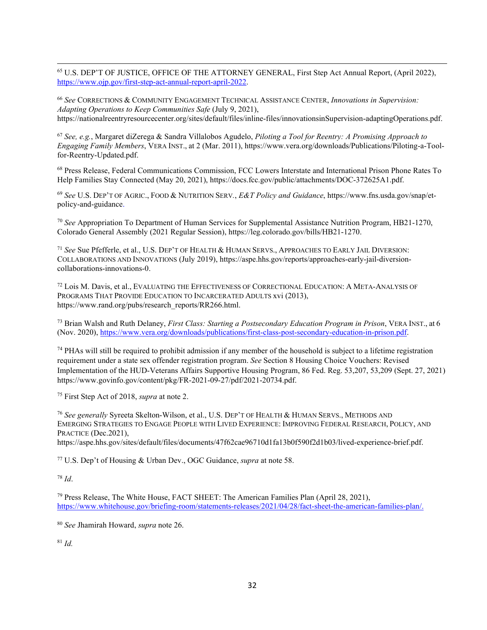<span id="page-31-0"></span><sup>65</sup> U.S. DEP'T OF JUSTICE, OFFICE OF THE ATTORNEY GENERAL, First Step Act Annual Report, (April 2022), [https://www.ojp.gov/first-step-act-annual-report-april-2022.](https://www.ojp.gov/first-step-act-annual-report-april-2022)

<span id="page-31-1"></span><sup>66</sup> *See* CORRECTIONS & COMMUNITY ENGAGEMENT TECHNICAL ASSISTANCE CENTER, *Innovations in Supervision: Adapting Operations to Keep Communities Safe* (July 9, 2021), [https://nationalreentryresourcecenter.org/sites/default/files/inline-files/innovationsinSupervision-adaptingOperations.pdf.](https://nationalreentryresourcecenter.org/sites/default/files/inline-files/innovationsinSupervision-adaptingOperations.pdf)

<span id="page-31-2"></span><sup>67</sup> *See, e.g.*, Margaret diZerega & Sandra Villalobos Agudelo, *Piloting a Tool for Reentry: A Promising Approach to Engaging Family Members*, VERA INST., at 2 (Mar. 2011), https://www.vera.org/downloads/Publications/Piloting-a-Toolfor-Reentry-Updated.pdf.

<span id="page-31-3"></span><sup>68</sup> Press Release, Federal Communications Commission, FCC Lowers Interstate and International Prison Phone Rates To Help Families Stay Connected (May 20, 2021), https://docs.fcc.gov/public/attachments/DOC-372625A1.pdf.

<span id="page-31-4"></span><sup>69</sup> *See* U.S. DEP'T OF AGRIC., FOOD & NUTRITION SERV*.*, *E&T Policy and Guidance*, https://www.fns.usda.gov/snap/etpolicy-and-guidance.

<span id="page-31-5"></span><sup>70</sup> *See* Appropriation To Department of Human Services for Supplemental Assistance Nutrition Program, HB21-1270, Colorado General Assembly (2021 Regular Session), https://leg.colorado.gov/bills/HB21-1270.

<span id="page-31-6"></span><sup>71</sup> *See* Sue Pfefferle, et al., U.S. DEP'T OF HEALTH & HUMAN SERVS., APPROACHES TO EARLY JAIL DIVERSION: COLLABORATIONS AND INNOVATIONS (July 2019), https://aspe.hhs.gov/reports/approaches-early-jail-diversioncollaborations-innovations-0.

<span id="page-31-7"></span><sup>72</sup> Lois M. Davis, et al., EVALUATING THE EFFECTIVENESS OF CORRECTIONAL EDUCATION: A META-ANALYSIS OF PROGRAMS THAT PROVIDE EDUCATION TO INCARCERATED ADULTS xvi (2013), https://www.rand.org/pubs/research\_reports/RR266.html.

<span id="page-31-8"></span><sup>73</sup> Brian Walsh and Ruth Delaney, *First Class: Starting a Postsecondary Education Program in Prison*, VERA INST., at 6 (Nov. 2020), [https://www.vera.org/downloads/publications/first-class-post-secondary-education-in-prison.pdf.](https://www.vera.org/downloads/publications/first-class-post-secondary-education-in-prison.pdf)

<span id="page-31-9"></span> $74$  PHAs will still be required to prohibit admission if any member of the household is subject to a lifetime registration requirement under a state sex offender registration program. *See* Section 8 Housing Choice Vouchers: Revised Implementation of the HUD-Veterans Affairs Supportive Housing Program, 86 Fed. Reg. 53,207, 53,209 (Sept. 27, 2021) https://www.govinfo.gov/content/pkg/FR-2021-09-27/pdf/2021-20734.pdf.

<span id="page-31-10"></span><sup>75</sup> First Step Act of 2018, *supra* at note 2.

<span id="page-31-11"></span><sup>76</sup> *See generally* Syreeta Skelton-Wilson, et al., U.S. DEP'T OF HEALTH & HUMAN SERVS., METHODS AND EMERGING STRATEGIES TO ENGAGE PEOPLE WITH LIVED EXPERIENCE: IMPROVING FEDERAL RESEARCH, POLICY, AND PRACTICE (Dec.2021),

https://aspe.hhs.gov/sites/default/files/documents/47f62cae96710d1fa13b0f590f2d1b03/lived-experience-brief.pdf.

<span id="page-31-12"></span><sup>77</sup> U.S. Dep't of Housing & Urban Dev., OGC Guidance, *supra* at note 58.

<span id="page-31-13"></span><sup>78</sup> *Id*.

<span id="page-31-14"></span> $79$  Press Release, The White House, FACT SHEET: The American Families Plan (April 28, 2021), [https://www.whitehouse.gov/briefing-room/statements-releases/2021/04/28/fact-sheet-the-american-families-plan/.](https://www.whitehouse.gov/briefing-room/statements-releases/2021/04/28/fact-sheet-the-american-families-plan/)

<span id="page-31-15"></span><sup>80</sup> *See* Jhamirah Howard, *supra* note 26.

<span id="page-31-16"></span><sup>81</sup> *Id.*